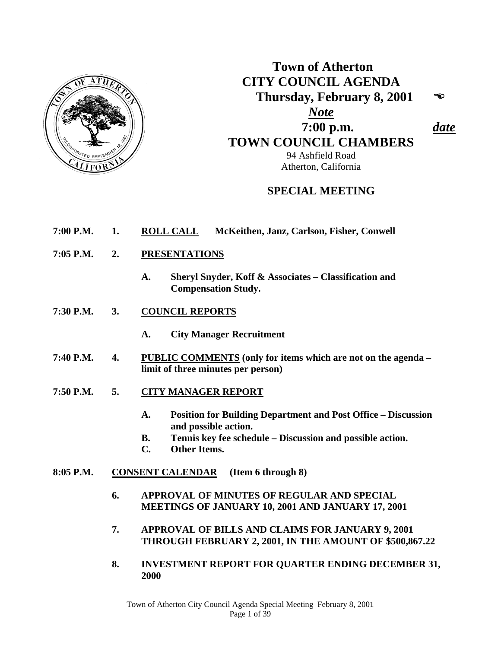

# **Town of Atherton CITY COUNCIL AGENDA Thursday, February 8, 2001**  *Note*  **7:00 p.m.** *date*  **TOWN COUNCIL CHAMBERS** 94 Ashfield Road Atherton, California

# **SPECIAL MEETING**

- **7:00 P.M. 1. ROLL CALL McKeithen, Janz, Carlson, Fisher, Conwell**
- **7:05 P.M. 2. PRESENTATIONS**
	- **A. Sheryl Snyder, Koff & Associates Classification and Compensation Study.**
- **7:30 P.M. 3. COUNCIL REPORTS**
	- **A. City Manager Recruitment**
- **7:40 P.M. 4. PUBLIC COMMENTS (only for items which are not on the agenda limit of three minutes per person)**
- **7:50 P.M. 5. CITY MANAGER REPORT**
	- **A. Position for Building Department and Post Office Discussion and possible action.**
	- **B. Tennis key fee schedule Discussion and possible action.**
	- **C. Other Items.**
- **8:05 P.M. CONSENT CALENDAR (Item 6 through 8)** 
	- **6. APPROVAL OF MINUTES OF REGULAR AND SPECIAL MEETINGS OF JANUARY 10, 2001 AND JANUARY 17, 2001**
	- **7. APPROVAL OF BILLS AND CLAIMS FOR JANUARY 9, 2001 THROUGH FEBRUARY 2, 2001, IN THE AMOUNT OF \$500,867.22**
	- **8. INVESTMENT REPORT FOR QUARTER ENDING DECEMBER 31, 2000**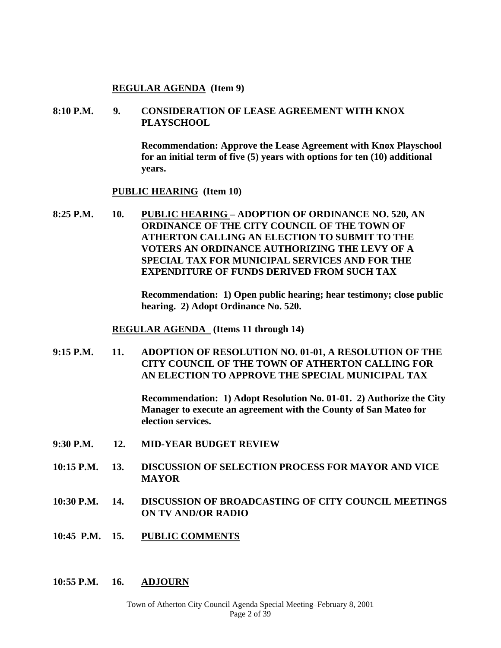#### **REGULAR AGENDA (Item 9)**

#### **8:10 P.M. 9. CONSIDERATION OF LEASE AGREEMENT WITH KNOX PLAYSCHOOL**

 **Recommendation: Approve the Lease Agreement with Knox Playschool for an initial term of five (5) years with options for ten (10) additional years.** 

#### **PUBLIC HEARING (Item 10)**

**8:25 P.M. 10. PUBLIC HEARING – ADOPTION OF ORDINANCE NO. 520, AN ORDINANCE OF THE CITY COUNCIL OF THE TOWN OF ATHERTON CALLING AN ELECTION TO SUBMIT TO THE VOTERS AN ORDINANCE AUTHORIZING THE LEVY OF A SPECIAL TAX FOR MUNICIPAL SERVICES AND FOR THE EXPENDITURE OF FUNDS DERIVED FROM SUCH TAX** 

> **Recommendation: 1) Open public hearing; hear testimony; close public hearing. 2) Adopt Ordinance No. 520.**

 **REGULAR AGENDA (Items 11 through 14)** 

**9:15 P.M. 11. ADOPTION OF RESOLUTION NO. 01-01, A RESOLUTION OF THE CITY COUNCIL OF THE TOWN OF ATHERTON CALLING FOR AN ELECTION TO APPROVE THE SPECIAL MUNICIPAL TAX** 

> **Recommendation: 1) Adopt Resolution No. 01-01. 2) Authorize the City Manager to execute an agreement with the County of San Mateo for election services.**

- **9:30 P.M. 12. MID-YEAR BUDGET REVIEW**
- **10:15 P.M. 13. DISCUSSION OF SELECTION PROCESS FOR MAYOR AND VICE MAYOR**
- **10:30 P.M. 14. DISCUSSION OF BROADCASTING OF CITY COUNCIL MEETINGS ON TV AND/OR RADIO**
- **10:45 P.M. 15. PUBLIC COMMENTS**
- **10:55 P.M. 16. ADJOURN**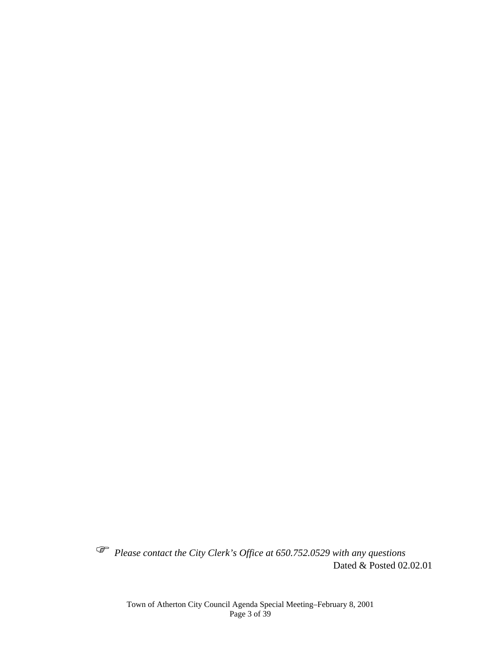*Please contact the City Clerk's Office at 650.752.0529 with any questions*  Dated & Posted 02.02.01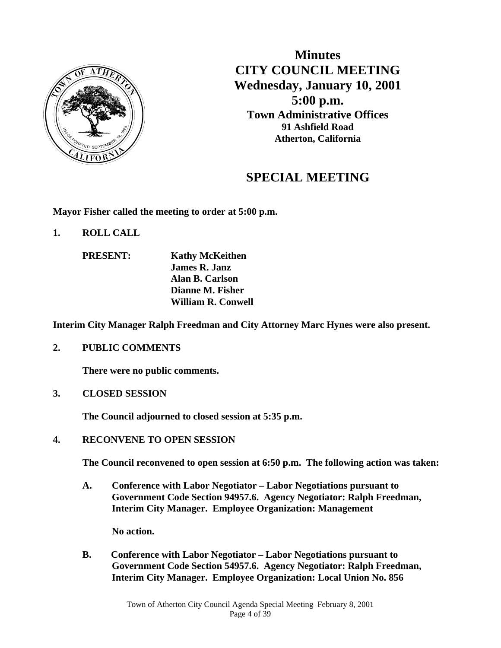

**Minutes CITY COUNCIL MEETING Wednesday, January 10, 2001 5:00 p.m. Town Administrative Offices 91 Ashfield Road Atherton, California**

# **SPECIAL MEETING**

**Mayor Fisher called the meeting to order at 5:00 p.m.** 

- **1. ROLL CALL** 
	- **PRESENT: Kathy McKeithen James R. Janz Alan B. Carlson Dianne M. Fisher William R. Conwell**

**Interim City Manager Ralph Freedman and City Attorney Marc Hynes were also present.** 

**2. PUBLIC COMMENTS** 

 **There were no public comments.** 

**3. CLOSED SESSION** 

 **The Council adjourned to closed session at 5:35 p.m.** 

**4. RECONVENE TO OPEN SESSION** 

**The Council reconvened to open session at 6:50 p.m. The following action was taken:** 

 **A. Conference with Labor Negotiator – Labor Negotiations pursuant to Government Code Section 94957.6. Agency Negotiator: Ralph Freedman, Interim City Manager. Employee Organization: Management** 

 **No action.** 

 **B. Conference with Labor Negotiator – Labor Negotiations pursuant to Government Code Section 54957.6. Agency Negotiator: Ralph Freedman, Interim City Manager. Employee Organization: Local Union No. 856**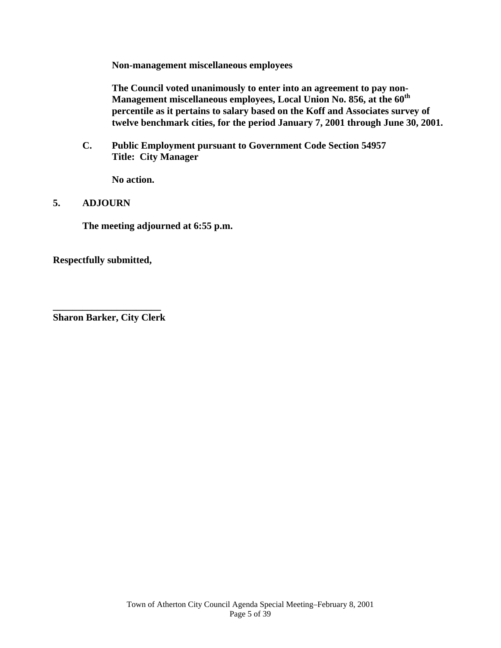**Non-management miscellaneous employees** 

 **The Council voted unanimously to enter into an agreement to pay non-Management miscellaneous employees, Local Union No. 856, at the 60th percentile as it pertains to salary based on the Koff and Associates survey of twelve benchmark cities, for the period January 7, 2001 through June 30, 2001.** 

**C. Public Employment pursuant to Government Code Section 54957 Title: City Manager** 

 **No action.** 

#### **5. ADJOURN**

**The meeting adjourned at 6:55 p.m.** 

**Respectfully submitted,** 

**\_\_\_\_\_\_\_\_\_\_\_\_\_\_\_\_\_\_\_\_\_\_ Sharon Barker, City Clerk**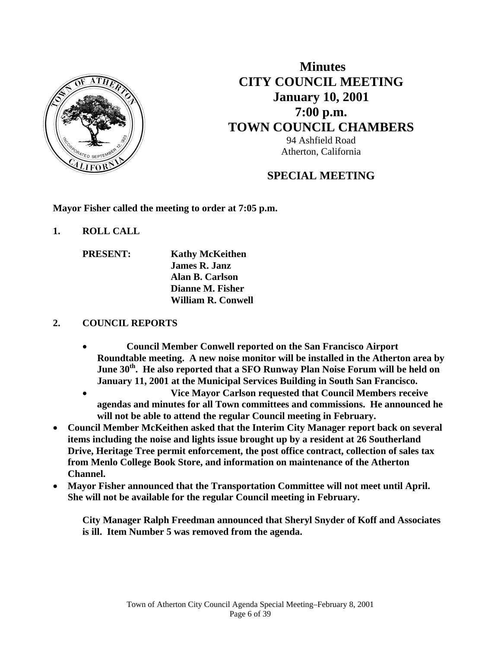

 **Minutes CITY COUNCIL MEETING January 10, 2001 7:00 p.m. TOWN COUNCIL CHAMBERS** 94 Ashfield Road Atherton, California

# **SPECIAL MEETING**

**Mayor Fisher called the meeting to order at 7:05 p.m.** 

- **1. ROLL CALL** 
	- **PRESENT: Kathy McKeithen James R. Janz Alan B. Carlson Dianne M. Fisher William R. Conwell**

### **2. COUNCIL REPORTS**

- **Council Member Conwell reported on the San Francisco Airport Roundtable meeting. A new noise monitor will be installed in the Atherton area by**  June 30<sup>th</sup>. He also reported that a SFO Runway Plan Noise Forum will be held on **January 11, 2001 at the Municipal Services Building in South San Francisco.**
- **Vice Mayor Carlson requested that Council Members receive agendas and minutes for all Town committees and commissions. He announced he will not be able to attend the regular Council meeting in February.**
- **Council Member McKeithen asked that the Interim City Manager report back on several items including the noise and lights issue brought up by a resident at 26 Southerland Drive, Heritage Tree permit enforcement, the post office contract, collection of sales tax from Menlo College Book Store, and information on maintenance of the Atherton Channel.**
- **Mayor Fisher announced that the Transportation Committee will not meet until April. She will not be available for the regular Council meeting in February.**

**City Manager Ralph Freedman announced that Sheryl Snyder of Koff and Associates is ill. Item Number 5 was removed from the agenda.**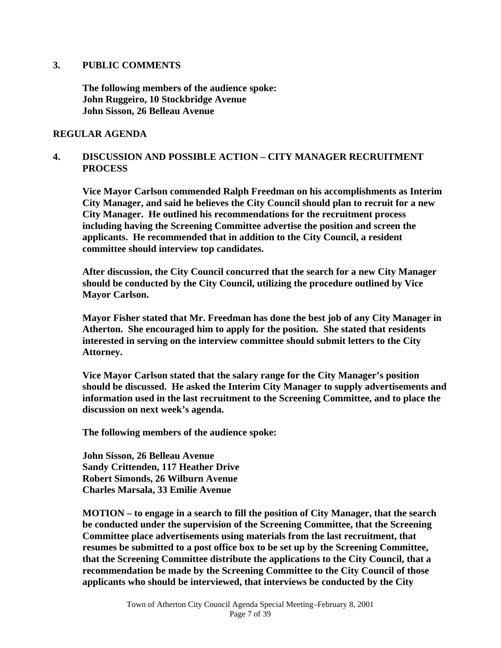#### **3. PUBLIC COMMENTS**

**The following members of the audience spoke: John Ruggeiro, 10 Stockbridge Avenue John Sisson, 26 Belleau Avenue** 

#### **REGULAR AGENDA**

#### **4. DISCUSSION AND POSSIBLE ACTION – CITY MANAGER RECRUITMENT PROCESS**

 **Vice Mayor Carlson commended Ralph Freedman on his accomplishments as Interim City Manager, and said he believes the City Council should plan to recruit for a new City Manager. He outlined his recommendations for the recruitment process including having the Screening Committee advertise the position and screen the applicants. He recommended that in addition to the City Council, a resident committee should interview top candidates.** 

 **After discussion, the City Council concurred that the search for a new City Manager should be conducted by the City Council, utilizing the procedure outlined by Vice Mayor Carlson.** 

 **Mayor Fisher stated that Mr. Freedman has done the best job of any City Manager in Atherton. She encouraged him to apply for the position. She stated that residents interested in serving on the interview committee should submit letters to the City Attorney.** 

 **Vice Mayor Carlson stated that the salary range for the City Manager's position should be discussed. He asked the Interim City Manager to supply advertisements and information used in the last recruitment to the Screening Committee, and to place the discussion on next week's agenda.** 

 **The following members of the audience spoke:** 

 **John Sisson, 26 Belleau Avenue Sandy Crittenden, 117 Heather Drive Robert Simonds, 26 Wilburn Avenue Charles Marsala, 33 Emilie Avenue** 

 **MOTION – to engage in a search to fill the position of City Manager, that the search be conducted under the supervision of the Screening Committee, that the Screening Committee place advertisements using materials from the last recruitment, that resumes be submitted to a post office box to be set up by the Screening Committee, that the Screening Committee distribute the applications to the City Council, that a recommendation be made by the Screening Committee to the City Council of those applicants who should be interviewed, that interviews be conducted by the City**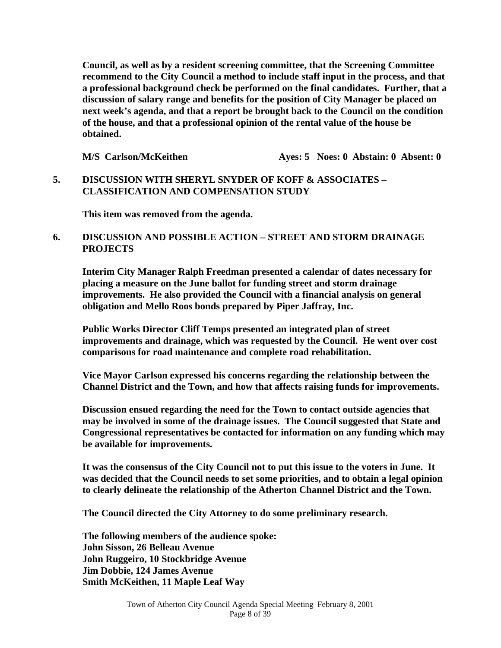**Council, as well as by a resident screening committee, that the Screening Committee recommend to the City Council a method to include staff input in the process, and that a professional background check be performed on the final candidates. Further, that a discussion of salary range and benefits for the position of City Manager be placed on next week's agenda, and that a report be brought back to the Council on the condition of the house, and that a professional opinion of the rental value of the house be obtained.** 

**M/S** Carlson/McKeithen **Ayes: 5 Noes: 0 Abstain: 0 Absent: 0** 

#### **5. DISCUSSION WITH SHERYL SNYDER OF KOFF & ASSOCIATES – CLASSIFICATION AND COMPENSATION STUDY**

 **This item was removed from the agenda.** 

#### **6. DISCUSSION AND POSSIBLE ACTION – STREET AND STORM DRAINAGE PROJECTS**

 **Interim City Manager Ralph Freedman presented a calendar of dates necessary for placing a measure on the June ballot for funding street and storm drainage improvements. He also provided the Council with a financial analysis on general obligation and Mello Roos bonds prepared by Piper Jaffray, Inc.** 

 **Public Works Director Cliff Temps presented an integrated plan of street improvements and drainage, which was requested by the Council. He went over cost comparisons for road maintenance and complete road rehabilitation.** 

 **Vice Mayor Carlson expressed his concerns regarding the relationship between the Channel District and the Town, and how that affects raising funds for improvements.** 

 **Discussion ensued regarding the need for the Town to contact outside agencies that may be involved in some of the drainage issues. The Council suggested that State and Congressional representatives be contacted for information on any funding which may be available for improvements.** 

 **It was the consensus of the City Council not to put this issue to the voters in June. It was decided that the Council needs to set some priorities, and to obtain a legal opinion to clearly delineate the relationship of the Atherton Channel District and the Town.** 

 **The Council directed the City Attorney to do some preliminary research.** 

 **The following members of the audience spoke: John Sisson, 26 Belleau Avenue John Ruggeiro, 10 Stockbridge Avenue Jim Dobbie, 124 James Avenue Smith McKeithen, 11 Maple Leaf Way**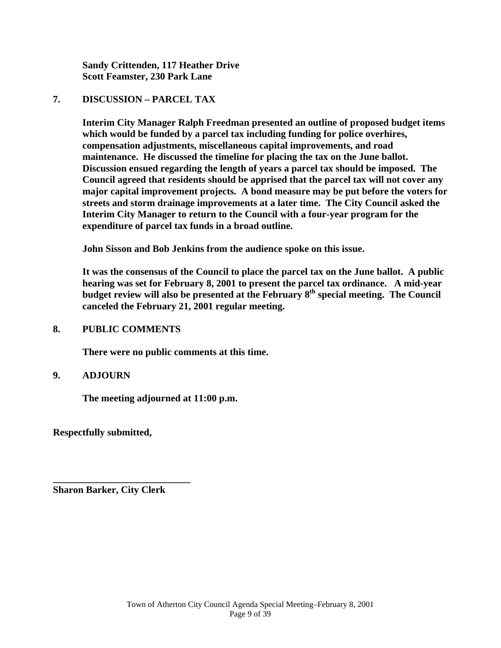**Sandy Crittenden, 117 Heather Drive Scott Feamster, 230 Park Lane** 

#### **7. DISCUSSION – PARCEL TAX**

 **Interim City Manager Ralph Freedman presented an outline of proposed budget items which would be funded by a parcel tax including funding for police overhires, compensation adjustments, miscellaneous capital improvements, and road maintenance. He discussed the timeline for placing the tax on the June ballot. Discussion ensued regarding the length of years a parcel tax should be imposed. The Council agreed that residents should be apprised that the parcel tax will not cover any major capital improvement projects. A bond measure may be put before the voters for streets and storm drainage improvements at a later time. The City Council asked the Interim City Manager to return to the Council with a four-year program for the expenditure of parcel tax funds in a broad outline.** 

 **John Sisson and Bob Jenkins from the audience spoke on this issue.** 

 **It was the consensus of the Council to place the parcel tax on the June ballot. A public hearing was set for February 8, 2001 to present the parcel tax ordinance. A mid-year budget review will also be presented at the February 8th special meeting. The Council canceled the February 21, 2001 regular meeting.** 

#### **8. PUBLIC COMMENTS**

 **There were no public comments at this time.** 

#### **9. ADJOURN**

 **The meeting adjourned at 11:00 p.m.** 

**Respectfully submitted,** 

**Sharon Barker, City Clerk** 

**\_\_\_\_\_\_\_\_\_\_\_\_\_\_\_\_\_\_\_\_\_\_\_\_\_\_\_\_**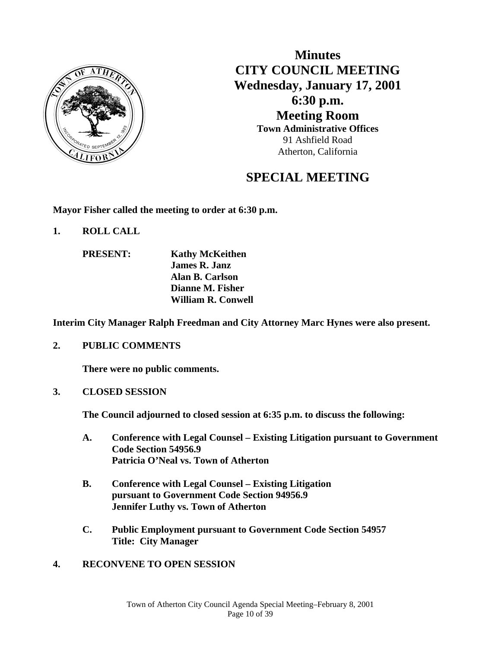

**Minutes CITY COUNCIL MEETING Wednesday, January 17, 2001 6:30 p.m. Meeting Room Town Administrative Offices** 91 Ashfield Road Atherton, California

# **SPECIAL MEETING**

**Mayor Fisher called the meeting to order at 6:30 p.m.** 

- **1. ROLL CALL** 
	- **PRESENT: Kathy McKeithen James R. Janz Alan B. Carlson Dianne M. Fisher William R. Conwell**

**Interim City Manager Ralph Freedman and City Attorney Marc Hynes were also present.** 

**2. PUBLIC COMMENTS** 

 **There were no public comments.** 

**3. CLOSED SESSION** 

**The Council adjourned to closed session at 6:35 p.m. to discuss the following:** 

- **A. Conference with Legal Counsel Existing Litigation pursuant to Government Code Section 54956.9 Patricia O'Neal vs. Town of Atherton**
- **B. Conference with Legal Counsel Existing Litigation pursuant to Government Code Section 94956.9 Jennifer Luthy vs. Town of Atherton**
- **C. Public Employment pursuant to Government Code Section 54957 Title: City Manager**
- **4. RECONVENE TO OPEN SESSION**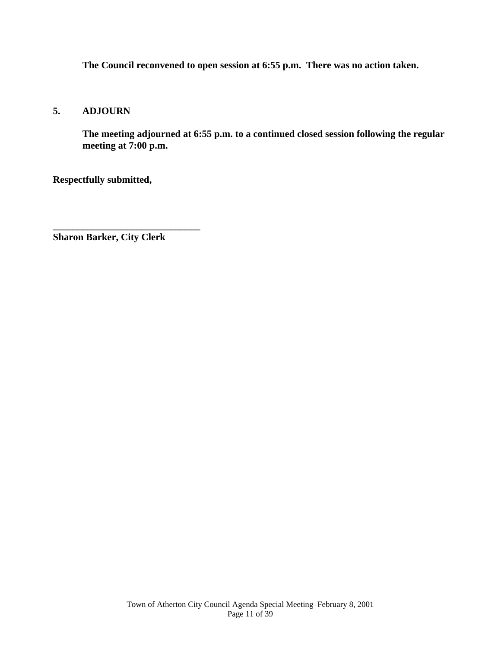**The Council reconvened to open session at 6:55 p.m. There was no action taken.** 

#### **5. ADJOURN**

**The meeting adjourned at 6:55 p.m. to a continued closed session following the regular meeting at 7:00 p.m.** 

**Respectfully submitted,** 

**Sharon Barker, City Clerk** 

**\_\_\_\_\_\_\_\_\_\_\_\_\_\_\_\_\_\_\_\_\_\_\_\_\_\_\_\_\_\_**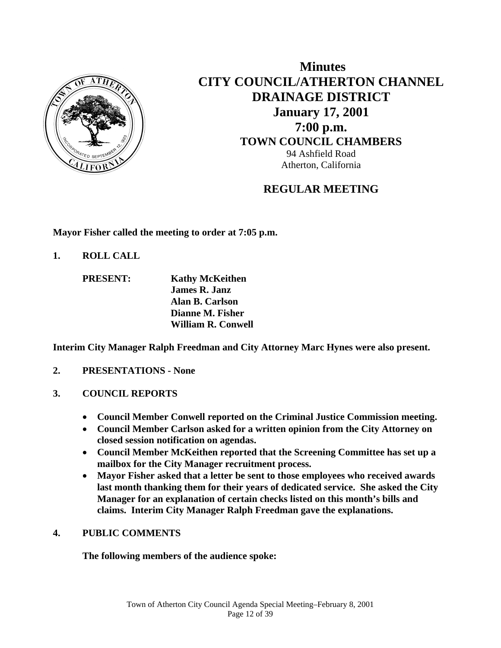

 **Minutes CITY COUNCIL/ATHERTON CHANNEL DRAINAGE DISTRICT January 17, 2001 7:00 p.m. TOWN COUNCIL CHAMBERS** 94 Ashfield Road Atherton, California

# **REGULAR MEETING**

**Mayor Fisher called the meeting to order at 7:05 p.m.** 

**1. ROLL CALL** 

 **PRESENT: Kathy McKeithen James R. Janz Alan B. Carlson Dianne M. Fisher William R. Conwell** 

**Interim City Manager Ralph Freedman and City Attorney Marc Hynes were also present.** 

- **2. PRESENTATIONS None**
- **3. COUNCIL REPORTS**
	- **Council Member Conwell reported on the Criminal Justice Commission meeting.**
	- **Council Member Carlson asked for a written opinion from the City Attorney on closed session notification on agendas.**
	- **Council Member McKeithen reported that the Screening Committee has set up a mailbox for the City Manager recruitment process.**
	- **Mayor Fisher asked that a letter be sent to those employees who received awards last month thanking them for their years of dedicated service. She asked the City Manager for an explanation of certain checks listed on this month's bills and claims. Interim City Manager Ralph Freedman gave the explanations.**

# **4. PUBLIC COMMENTS**

**The following members of the audience spoke:**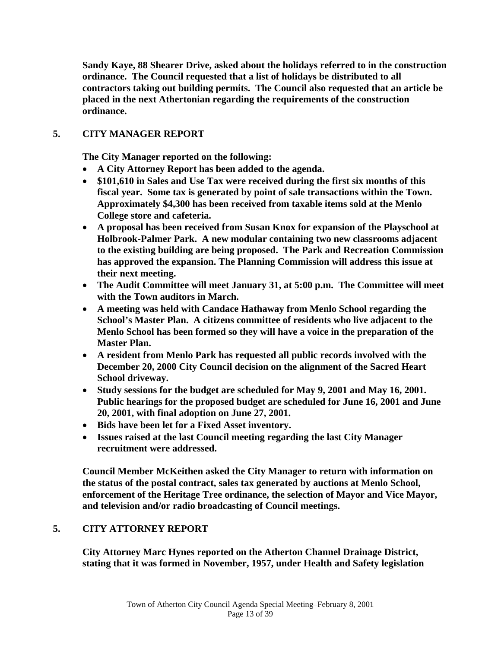**Sandy Kaye, 88 Shearer Drive, asked about the holidays referred to in the construction ordinance. The Council requested that a list of holidays be distributed to all contractors taking out building permits. The Council also requested that an article be placed in the next Athertonian regarding the requirements of the construction ordinance.** 

### **5. CITY MANAGER REPORT**

 **The City Manager reported on the following:** 

- **A City Attorney Report has been added to the agenda.**
- **\$101,610 in Sales and Use Tax were received during the first six months of this fiscal year. Some tax is generated by point of sale transactions within the Town. Approximately \$4,300 has been received from taxable items sold at the Menlo College store and cafeteria.**
- **A proposal has been received from Susan Knox for expansion of the Playschool at Holbrook-Palmer Park. A new modular containing two new classrooms adjacent to the existing building are being proposed. The Park and Recreation Commission has approved the expansion. The Planning Commission will address this issue at their next meeting.**
- **The Audit Committee will meet January 31, at 5:00 p.m. The Committee will meet with the Town auditors in March.**
- **A meeting was held with Candace Hathaway from Menlo School regarding the School's Master Plan. A citizens committee of residents who live adjacent to the Menlo School has been formed so they will have a voice in the preparation of the Master Plan.**
- **A resident from Menlo Park has requested all public records involved with the December 20, 2000 City Council decision on the alignment of the Sacred Heart School driveway.**
- **Study sessions for the budget are scheduled for May 9, 2001 and May 16, 2001. Public hearings for the proposed budget are scheduled for June 16, 2001 and June 20, 2001, with final adoption on June 27, 2001.**
- **Bids have been let for a Fixed Asset inventory.**
- **Issues raised at the last Council meeting regarding the last City Manager recruitment were addressed.**

**Council Member McKeithen asked the City Manager to return with information on the status of the postal contract, sales tax generated by auctions at Menlo School, enforcement of the Heritage Tree ordinance, the selection of Mayor and Vice Mayor, and television and/or radio broadcasting of Council meetings.** 

#### **5. CITY ATTORNEY REPORT**

**City Attorney Marc Hynes reported on the Atherton Channel Drainage District, stating that it was formed in November, 1957, under Health and Safety legislation**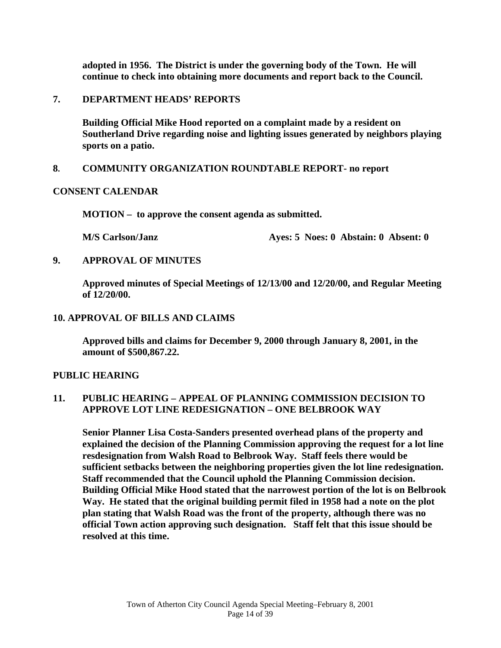**adopted in 1956. The District is under the governing body of the Town. He will continue to check into obtaining more documents and report back to the Council.** 

**7. DEPARTMENT HEADS' REPORTS** 

**Building Official Mike Hood reported on a complaint made by a resident on Southerland Drive regarding noise and lighting issues generated by neighbors playing sports on a patio.** 

#### **8. COMMUNITY ORGANIZATION ROUNDTABLE REPORT- no report**

#### **CONSENT CALENDAR**

**MOTION – to approve the consent agenda as submitted.** 

**M/S Carlson/Janz Ayes: 5 Noes: 0 Abstain: 0 Absent: 0** 

**9. APPROVAL OF MINUTES** 

**Approved minutes of Special Meetings of 12/13/00 and 12/20/00, and Regular Meeting of 12/20/00.** 

**10. APPROVAL OF BILLS AND CLAIMS** 

**Approved bills and claims for December 9, 2000 through January 8, 2001, in the amount of \$500,867.22.** 

#### **PUBLIC HEARING**

#### **11. PUBLIC HEARING – APPEAL OF PLANNING COMMISSION DECISION TO APPROVE LOT LINE REDESIGNATION – ONE BELBROOK WAY**

**Senior Planner Lisa Costa-Sanders presented overhead plans of the property and explained the decision of the Planning Commission approving the request for a lot line resdesignation from Walsh Road to Belbrook Way. Staff feels there would be sufficient setbacks between the neighboring properties given the lot line redesignation. Staff recommended that the Council uphold the Planning Commission decision. Building Official Mike Hood stated that the narrowest portion of the lot is on Belbrook Way. He stated that the original building permit filed in 1958 had a note on the plot plan stating that Walsh Road was the front of the property, although there was no official Town action approving such designation. Staff felt that this issue should be resolved at this time.**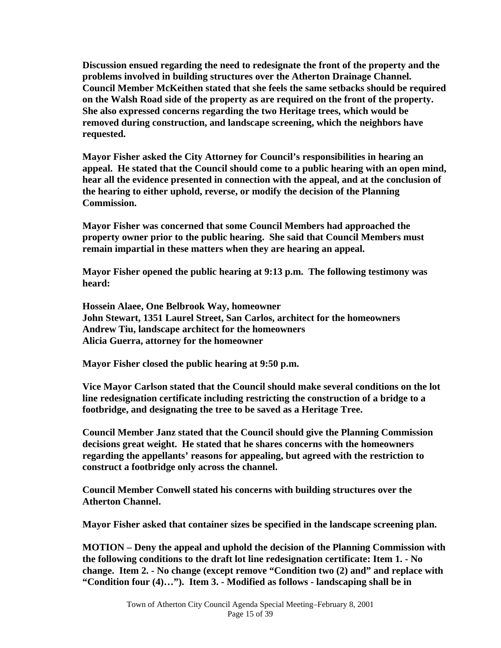**Discussion ensued regarding the need to redesignate the front of the property and the problems involved in building structures over the Atherton Drainage Channel. Council Member McKeithen stated that she feels the same setbacks should be required on the Walsh Road side of the property as are required on the front of the property. She also expressed concerns regarding the two Heritage trees, which would be removed during construction, and landscape screening, which the neighbors have requested.** 

**Mayor Fisher asked the City Attorney for Council's responsibilities in hearing an appeal. He stated that the Council should come to a public hearing with an open mind, hear all the evidence presented in connection with the appeal, and at the conclusion of the hearing to either uphold, reverse, or modify the decision of the Planning Commission.** 

**Mayor Fisher was concerned that some Council Members had approached the property owner prior to the public hearing. She said that Council Members must remain impartial in these matters when they are hearing an appeal.** 

**Mayor Fisher opened the public hearing at 9:13 p.m. The following testimony was heard:** 

**Hossein Alaee, One Belbrook Way, homeowner John Stewart, 1351 Laurel Street, San Carlos, architect for the homeowners Andrew Tiu, landscape architect for the homeowners Alicia Guerra, attorney for the homeowner** 

**Mayor Fisher closed the public hearing at 9:50 p.m.** 

**Vice Mayor Carlson stated that the Council should make several conditions on the lot line redesignation certificate including restricting the construction of a bridge to a footbridge, and designating the tree to be saved as a Heritage Tree.** 

**Council Member Janz stated that the Council should give the Planning Commission decisions great weight. He stated that he shares concerns with the homeowners regarding the appellants' reasons for appealing, but agreed with the restriction to construct a footbridge only across the channel.** 

**Council Member Conwell stated his concerns with building structures over the Atherton Channel.** 

 **Mayor Fisher asked that container sizes be specified in the landscape screening plan.** 

 **MOTION – Deny the appeal and uphold the decision of the Planning Commission with the following conditions to the draft lot line redesignation certificate: Item 1. - No change. Item 2. - No change (except remove "Condition two (2) and" and replace with "Condition four (4)…"). Item 3. - Modified as follows - landscaping shall be in**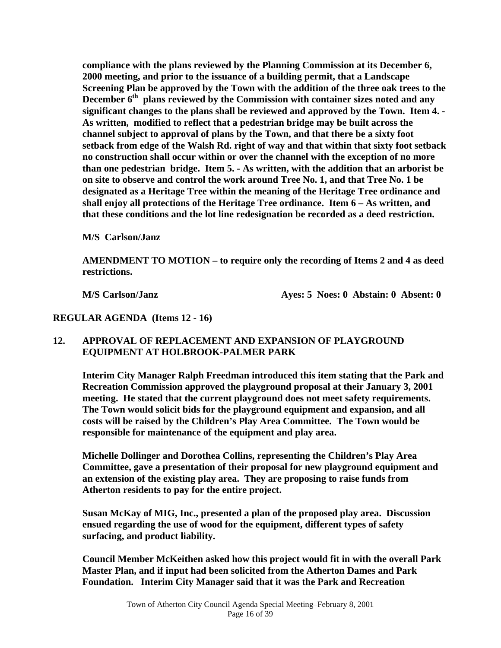**compliance with the plans reviewed by the Planning Commission at its December 6, 2000 meeting, and prior to the issuance of a building permit, that a Landscape Screening Plan be approved by the Town with the addition of the three oak trees to the**  December 6<sup>th</sup> plans reviewed by the Commission with container sizes noted and any **significant changes to the plans shall be reviewed and approved by the Town. Item 4. - As written, modified to reflect that a pedestrian bridge may be built across the channel subject to approval of plans by the Town, and that there be a sixty foot setback from edge of the Walsh Rd. right of way and that within that sixty foot setback no construction shall occur within or over the channel with the exception of no more than one pedestrian bridge. Item 5. - As written, with the addition that an arborist be on site to observe and control the work around Tree No. 1, and that Tree No. 1 be designated as a Heritage Tree within the meaning of the Heritage Tree ordinance and shall enjoy all protections of the Heritage Tree ordinance. Item 6 – As written, and that these conditions and the lot line redesignation be recorded as a deed restriction.** 

 **M/S Carlson/Janz** 

 **AMENDMENT TO MOTION – to require only the recording of Items 2 and 4 as deed restrictions.** 

 **M/S Carlson/Janz Ayes: 5 Noes: 0 Abstain: 0 Absent: 0** 

**REGULAR AGENDA (Items 12 - 16)** 

#### **12. APPROVAL OF REPLACEMENT AND EXPANSION OF PLAYGROUND EQUIPMENT AT HOLBROOK-PALMER PARK**

**Interim City Manager Ralph Freedman introduced this item stating that the Park and Recreation Commission approved the playground proposal at their January 3, 2001 meeting. He stated that the current playground does not meet safety requirements. The Town would solicit bids for the playground equipment and expansion, and all costs will be raised by the Children's Play Area Committee. The Town would be responsible for maintenance of the equipment and play area.** 

 **Michelle Dollinger and Dorothea Collins, representing the Children's Play Area Committee, gave a presentation of their proposal for new playground equipment and an extension of the existing play area. They are proposing to raise funds from Atherton residents to pay for the entire project.** 

 **Susan McKay of MIG, Inc., presented a plan of the proposed play area. Discussion ensued regarding the use of wood for the equipment, different types of safety surfacing, and product liability.** 

 **Council Member McKeithen asked how this project would fit in with the overall Park Master Plan, and if input had been solicited from the Atherton Dames and Park Foundation. Interim City Manager said that it was the Park and Recreation**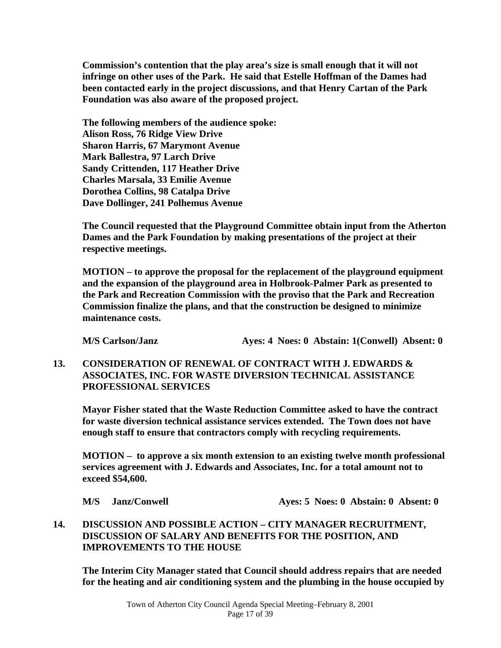**Commission's contention that the play area's size is small enough that it will not infringe on other uses of the Park. He said that Estelle Hoffman of the Dames had been contacted early in the project discussions, and that Henry Cartan of the Park Foundation was also aware of the proposed project.** 

 **The following members of the audience spoke: Alison Ross, 76 Ridge View Drive Sharon Harris, 67 Marymont Avenue Mark Ballestra, 97 Larch Drive Sandy Crittenden, 117 Heather Drive Charles Marsala, 33 Emilie Avenue Dorothea Collins, 98 Catalpa Drive Dave Dollinger, 241 Polhemus Avenue** 

 **The Council requested that the Playground Committee obtain input from the Atherton Dames and the Park Foundation by making presentations of the project at their respective meetings.** 

 **MOTION – to approve the proposal for the replacement of the playground equipment and the expansion of the playground area in Holbrook-Palmer Park as presented to the Park and Recreation Commission with the proviso that the Park and Recreation Commission finalize the plans, and that the construction be designed to minimize maintenance costs.** 

**M/S Carlson/Janz Ayes: 4 Noes: 0 Abstain: 1(Conwell) Absent: 0** 

**13. CONSIDERATION OF RENEWAL OF CONTRACT WITH J. EDWARDS & ASSOCIATES, INC. FOR WASTE DIVERSION TECHNICAL ASSISTANCE PROFESSIONAL SERVICES** 

 **Mayor Fisher stated that the Waste Reduction Committee asked to have the contract for waste diversion technical assistance services extended. The Town does not have enough staff to ensure that contractors comply with recycling requirements.** 

**MOTION – to approve a six month extension to an existing twelve month professional services agreement with J. Edwards and Associates, Inc. for a total amount not to exceed \$54,600.** 

|  |  | M/S Janz/Conwell |  |
|--|--|------------------|--|
|--|--|------------------|--|

**Ayes: 5 Noes: 0 Abstain: 0 Absent: 0** 

### **14. DISCUSSION AND POSSIBLE ACTION – CITY MANAGER RECRUITMENT, DISCUSSION OF SALARY AND BENEFITS FOR THE POSITION, AND IMPROVEMENTS TO THE HOUSE**

**The Interim City Manager stated that Council should address repairs that are needed for the heating and air conditioning system and the plumbing in the house occupied by**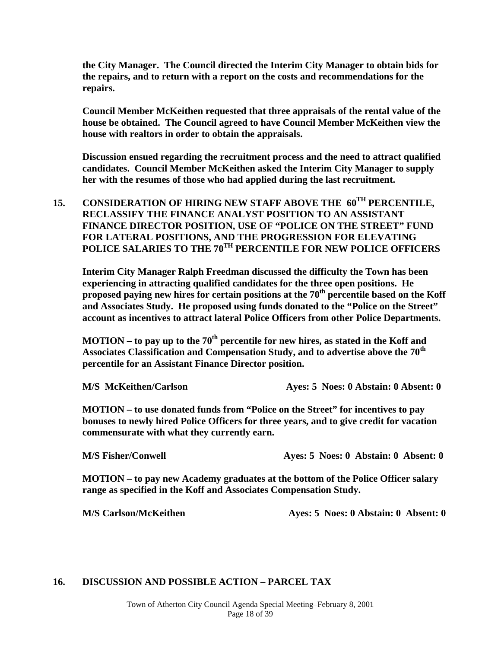**the City Manager. The Council directed the Interim City Manager to obtain bids for the repairs, and to return with a report on the costs and recommendations for the repairs.** 

**Council Member McKeithen requested that three appraisals of the rental value of the house be obtained. The Council agreed to have Council Member McKeithen view the house with realtors in order to obtain the appraisals.** 

**Discussion ensued regarding the recruitment process and the need to attract qualified candidates. Council Member McKeithen asked the Interim City Manager to supply her with the resumes of those who had applied during the last recruitment.** 

**15. CONSIDERATION OF HIRING NEW STAFF ABOVE THE 60TH PERCENTILE, RECLASSIFY THE FINANCE ANALYST POSITION TO AN ASSISTANT FINANCE DIRECTOR POSITION, USE OF "POLICE ON THE STREET" FUND FOR LATERAL POSITIONS, AND THE PROGRESSION FOR ELEVATING**  POLICE SALARIES TO THE 70<sup>TH</sup> PERCENTILE FOR NEW POLICE OFFICERS

**Interim City Manager Ralph Freedman discussed the difficulty the Town has been experiencing in attracting qualified candidates for the three open positions. He proposed paying new hires for certain positions at the 70th percentile based on the Koff and Associates Study. He proposed using funds donated to the "Police on the Street" account as incentives to attract lateral Police Officers from other Police Departments.** 

**MOTION – to pay up to the 70th percentile for new hires, as stated in the Koff and Associates Classification and Compensation Study, and to advertise above the 70th percentile for an Assistant Finance Director position.** 

 **M/S McKeithen/Carlson Ayes: 5 Noes: 0 Abstain: 0 Absent: 0** 

 **MOTION – to use donated funds from "Police on the Street" for incentives to pay bonuses to newly hired Police Officers for three years, and to give credit for vacation commensurate with what they currently earn.** 

 **M/S Fisher/Conwell Ayes: 5 Noes: 0 Abstain: 0 Absent: 0** 

 **MOTION – to pay new Academy graduates at the bottom of the Police Officer salary range as specified in the Koff and Associates Compensation Study.** 

**M/S Carlson/McKeithen Ayes: 5 Noes: 0 Abstain: 0 Absent: 0** 

#### **16. DISCUSSION AND POSSIBLE ACTION – PARCEL TAX**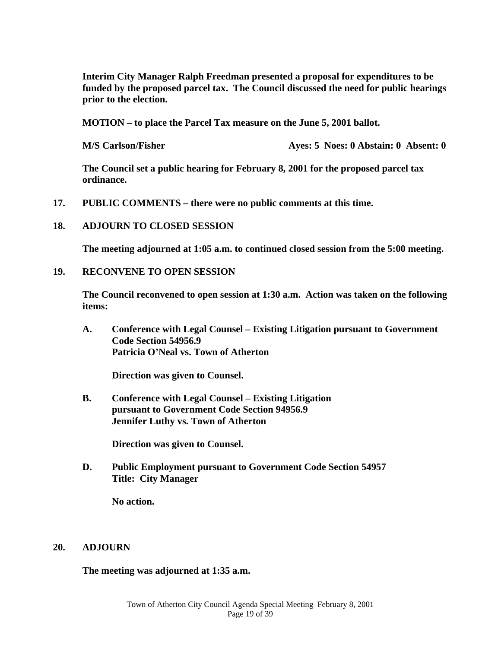**Interim City Manager Ralph Freedman presented a proposal for expenditures to be funded by the proposed parcel tax. The Council discussed the need for public hearings prior to the election.** 

 **MOTION – to place the Parcel Tax measure on the June 5, 2001 ballot.** 

 **M/S Carlson/Fisher Ayes: 5 Noes: 0 Abstain: 0 Absent: 0** 

 **The Council set a public hearing for February 8, 2001 for the proposed parcel tax ordinance.** 

**17. PUBLIC COMMENTS – there were no public comments at this time.** 

#### **18. ADJOURN TO CLOSED SESSION**

**The meeting adjourned at 1:05 a.m. to continued closed session from the 5:00 meeting.** 

#### **19. RECONVENE TO OPEN SESSION**

**The Council reconvened to open session at 1:30 a.m. Action was taken on the following items:** 

 **A. Conference with Legal Counsel – Existing Litigation pursuant to Government Code Section 54956.9 Patricia O'Neal vs. Town of Atherton** 

 **Direction was given to Counsel.** 

 **B. Conference with Legal Counsel – Existing Litigation pursuant to Government Code Section 94956.9 Jennifer Luthy vs. Town of Atherton** 

 **Direction was given to Counsel.** 

**D. Public Employment pursuant to Government Code Section 54957 Title: City Manager** 

 **No action.** 

#### **20. ADJOURN**

 **The meeting was adjourned at 1:35 a.m.**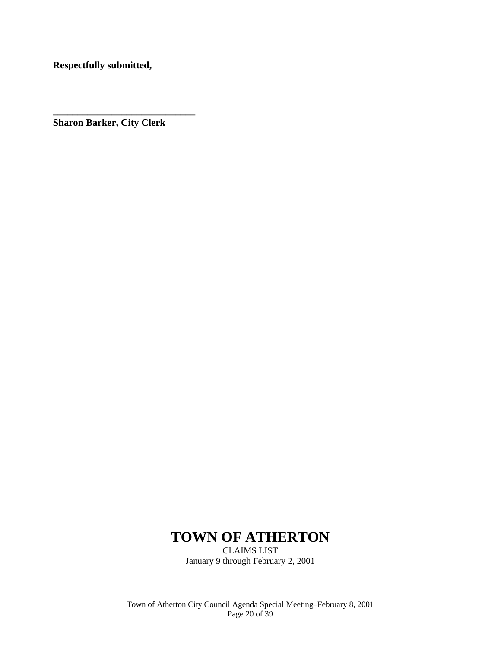**Respectfully submitted,** 

**Sharon Barker, City Clerk** 

**\_\_\_\_\_\_\_\_\_\_\_\_\_\_\_\_\_\_\_\_\_\_\_\_\_\_\_\_\_** 

# **TOWN OF ATHERTON**

CLAIMS LIST January 9 through February 2, 2001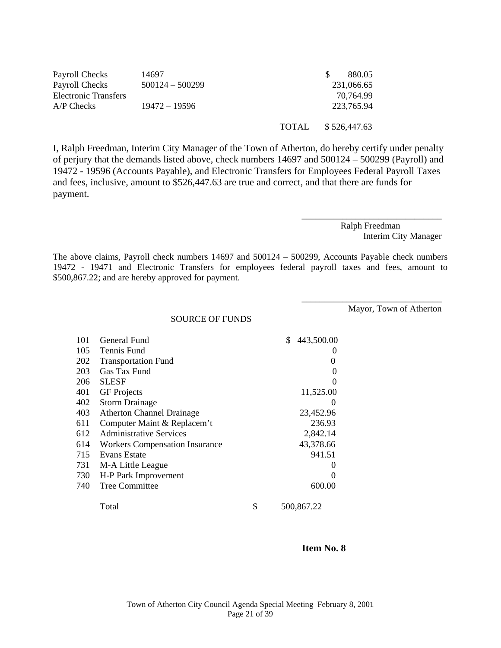| Payroll Checks       | 14697             |       | 880.05       |
|----------------------|-------------------|-------|--------------|
| Payroll Checks       | $500124 - 500299$ |       | 231,066.65   |
| Electronic Transfers |                   |       | 70,764.99    |
| A/P Checks           | $19472 - 19596$   |       | 223,765.94   |
|                      |                   |       |              |
|                      |                   | TOTAL | \$526,447.63 |

I, Ralph Freedman, Interim City Manager of the Town of Atherton, do hereby certify under penalty of perjury that the demands listed above, check numbers 14697 and 500124 – 500299 (Payroll) and 19472 - 19596 (Accounts Payable), and Electronic Transfers for Employees Federal Payroll Taxes and fees, inclusive, amount to \$526,447.63 are true and correct, and that there are funds for payment.

> Ralph Freedman Interim City Manager

\_\_\_\_\_\_\_\_\_\_\_\_\_\_\_\_\_\_\_\_\_\_\_\_\_\_\_\_\_\_\_

\_\_\_\_\_\_\_\_\_\_\_\_\_\_\_\_\_\_\_\_\_\_\_\_\_\_\_\_\_\_\_

The above claims, Payroll check numbers 14697 and 500124 – 500299, Accounts Payable check numbers 19472 - 19471 and Electronic Transfers for employees federal payroll taxes and fees, amount to \$500,867.22; and are hereby approved for payment.

Mayor, Town of Atherton

SOURCE OF FUNDS

| 101 | General Fund                          | \$ | 443,500.00        |
|-----|---------------------------------------|----|-------------------|
| 105 | Tennis Fund                           |    |                   |
| 202 | <b>Transportation Fund</b>            |    | $\theta$          |
| 203 | Gas Tax Fund                          |    | 0                 |
| 206 | <b>SLESF</b>                          |    | 0                 |
| 401 | <b>GF</b> Projects                    |    | 11,525.00         |
| 402 | <b>Storm Drainage</b>                 |    | $\mathbf{\Omega}$ |
| 403 | <b>Atherton Channel Drainage</b>      |    | 23,452.96         |
| 611 | Computer Maint & Replacem't           |    | 236.93            |
| 612 | <b>Administrative Services</b>        |    | 2,842.14          |
| 614 | <b>Workers Compensation Insurance</b> |    | 43,378.66         |
| 715 | Evans Estate                          |    | 941.51            |
| 731 | M-A Little League                     |    | $\theta$          |
| 730 | H-P Park Improvement                  |    | $\mathbf{\Omega}$ |
| 740 | <b>Tree Committee</b>                 |    | 600.00            |
|     | Total                                 | \$ | 500,867.22        |

#### **Item No. 8**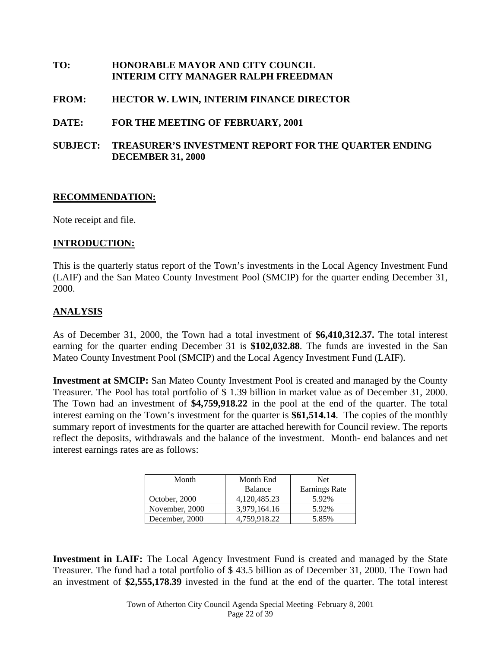### **TO: HONORABLE MAYOR AND CITY COUNCIL INTERIM CITY MANAGER RALPH FREEDMAN**

#### **FROM: HECTOR W. LWIN, INTERIM FINANCE DIRECTOR**

#### **DATE: FOR THE MEETING OF FEBRUARY, 2001**

#### **SUBJECT: TREASURER'S INVESTMENT REPORT FOR THE QUARTER ENDING DECEMBER 31, 2000**

#### **RECOMMENDATION:**

Note receipt and file.

#### **INTRODUCTION:**

This is the quarterly status report of the Town's investments in the Local Agency Investment Fund (LAIF) and the San Mateo County Investment Pool (SMCIP) for the quarter ending December 31, 2000.

#### **ANALYSIS**

As of December 31, 2000, the Town had a total investment of **\$6,410,312.37.** The total interest earning for the quarter ending December 31 is **\$102,032.88**. The funds are invested in the San Mateo County Investment Pool (SMCIP) and the Local Agency Investment Fund (LAIF).

**Investment at SMCIP:** San Mateo County Investment Pool is created and managed by the County Treasurer. The Pool has total portfolio of \$ 1.39 billion in market value as of December 31, 2000. The Town had an investment of **\$4,759,918.22** in the pool at the end of the quarter. The total interest earning on the Town's investment for the quarter is **\$61,514.14**. The copies of the monthly summary report of investments for the quarter are attached herewith for Council review. The reports reflect the deposits, withdrawals and the balance of the investment. Month- end balances and net interest earnings rates are as follows:

| Month          | Month End    | <b>Net</b>           |  |
|----------------|--------------|----------------------|--|
|                | Balance      | <b>Earnings Rate</b> |  |
| October, 2000  | 4,120,485.23 | 5.92%                |  |
| November, 2000 | 3,979,164.16 | 5.92%                |  |
| December, 2000 | 4,759,918.22 | 5.85%                |  |

**Investment in LAIF:** The Local Agency Investment Fund is created and managed by the State Treasurer. The fund had a total portfolio of \$ 43.5 billion as of December 31, 2000. The Town had an investment of **\$2,555,178.39** invested in the fund at the end of the quarter. The total interest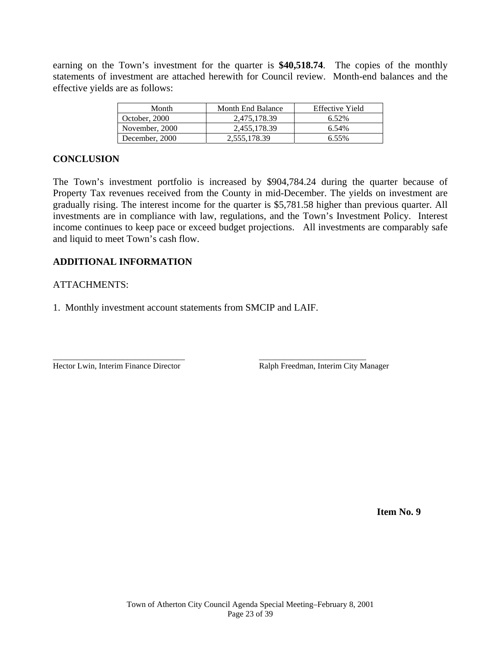earning on the Town's investment for the quarter is **\$40,518.74**. The copies of the monthly statements of investment are attached herewith for Council review. Month-end balances and the effective yields are as follows:

| Month          | <b>Month End Balance</b> | Effective Yield |
|----------------|--------------------------|-----------------|
| October, 2000  | 2.475.178.39             | 6.52%           |
| November, 2000 | 2.455.178.39             | 6.54%           |
| December, 2000 | 2,555,178.39             | 6.55%           |

#### **CONCLUSION**

The Town's investment portfolio is increased by \$904,784.24 during the quarter because of Property Tax revenues received from the County in mid-December. The yields on investment are gradually rising. The interest income for the quarter is \$5,781.58 higher than previous quarter. All investments are in compliance with law, regulations, and the Town's Investment Policy. Interest income continues to keep pace or exceed budget projections. All investments are comparably safe and liquid to meet Town's cash flow.

#### **ADDITIONAL INFORMATION**

#### ATTACHMENTS:

1. Monthly investment account statements from SMCIP and LAIF.

\_\_\_\_\_\_\_\_\_\_\_\_\_\_\_\_\_\_\_\_\_\_\_\_\_\_\_\_\_\_\_\_ \_\_\_\_\_\_\_\_\_\_\_\_\_\_\_\_\_\_\_\_\_\_\_\_\_\_

Hector Lwin, Interim Finance Director Ralph Freedman, Interim City Manager

 **Item No. 9**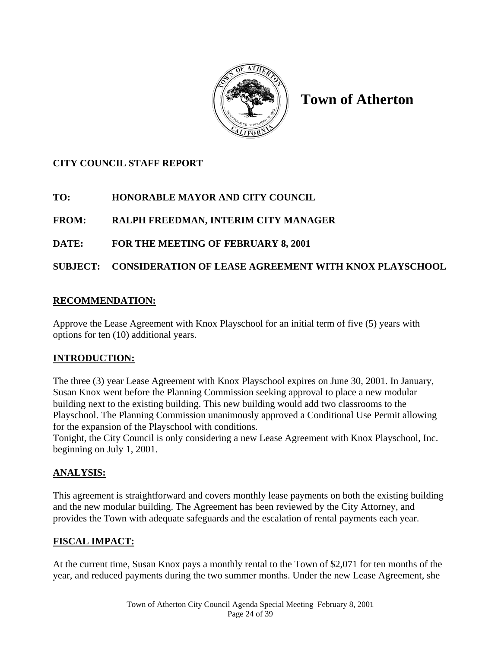

# **Town of Atherton**

# **CITY COUNCIL STAFF REPORT**

# **TO: HONORABLE MAYOR AND CITY COUNCIL**

# **FROM: RALPH FREEDMAN, INTERIM CITY MANAGER**

# **DATE: FOR THE MEETING OF FEBRUARY 8, 2001**

# **SUBJECT: CONSIDERATION OF LEASE AGREEMENT WITH KNOX PLAYSCHOOL**

### **RECOMMENDATION:**

Approve the Lease Agreement with Knox Playschool for an initial term of five (5) years with options for ten (10) additional years.

# **INTRODUCTION:**

The three (3) year Lease Agreement with Knox Playschool expires on June 30, 2001. In January, Susan Knox went before the Planning Commission seeking approval to place a new modular building next to the existing building. This new building would add two classrooms to the Playschool. The Planning Commission unanimously approved a Conditional Use Permit allowing for the expansion of the Playschool with conditions.

Tonight, the City Council is only considering a new Lease Agreement with Knox Playschool, Inc. beginning on July 1, 2001.

# **ANALYSIS:**

This agreement is straightforward and covers monthly lease payments on both the existing building and the new modular building. The Agreement has been reviewed by the City Attorney, and provides the Town with adequate safeguards and the escalation of rental payments each year.

# **FISCAL IMPACT:**

At the current time, Susan Knox pays a monthly rental to the Town of \$2,071 for ten months of the year, and reduced payments during the two summer months. Under the new Lease Agreement, she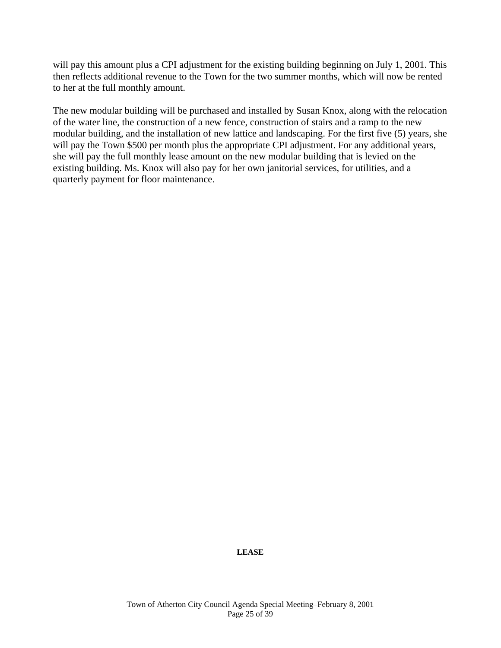will pay this amount plus a CPI adjustment for the existing building beginning on July 1, 2001. This then reflects additional revenue to the Town for the two summer months, which will now be rented to her at the full monthly amount.

The new modular building will be purchased and installed by Susan Knox, along with the relocation of the water line, the construction of a new fence, construction of stairs and a ramp to the new modular building, and the installation of new lattice and landscaping. For the first five (5) years, she will pay the Town \$500 per month plus the appropriate CPI adjustment. For any additional years, she will pay the full monthly lease amount on the new modular building that is levied on the existing building. Ms. Knox will also pay for her own janitorial services, for utilities, and a quarterly payment for floor maintenance.

**LEASE**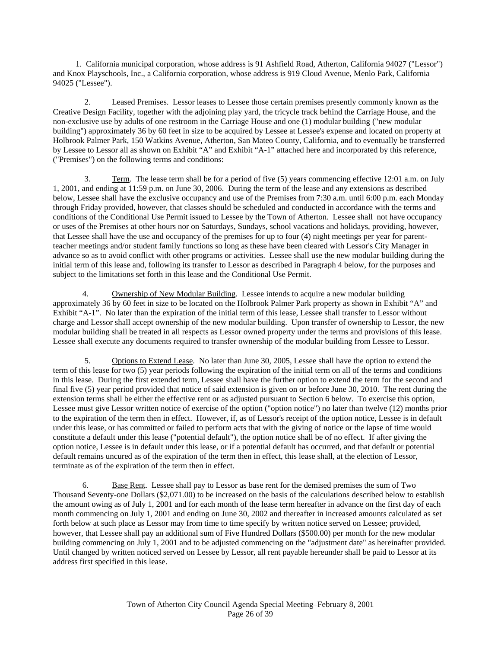1. California municipal corporation, whose address is 91 Ashfield Road, Atherton, California 94027 ("Lessor") and Knox Playschools, Inc., a California corporation, whose address is 919 Cloud Avenue, Menlo Park, California 94025 ("Lessee").

 2. Leased Premises. Lessor leases to Lessee those certain premises presently commonly known as the Creative Design Facility, together with the adjoining play yard, the tricycle track behind the Carriage House, and the non-exclusive use by adults of one restroom in the Carriage House and one (1) modular building ("new modular building") approximately 36 by 60 feet in size to be acquired by Lessee at Lessee's expense and located on property at Holbrook Palmer Park, 150 Watkins Avenue, Atherton, San Mateo County, California, and to eventually be transferred by Lessee to Lessor all as shown on Exhibit "A" and Exhibit "A-1" attached here and incorporated by this reference, ("Premises") on the following terms and conditions:

 3. Term. The lease term shall be for a period of five (5) years commencing effective 12:01 a.m. on July 1, 2001, and ending at 11:59 p.m. on June 30, 2006. During the term of the lease and any extensions as described below, Lessee shall have the exclusive occupancy and use of the Premises from 7:30 a.m. until 6:00 p.m. each Monday through Friday provided, however, that classes should be scheduled and conducted in accordance with the terms and conditions of the Conditional Use Permit issued to Lessee by the Town of Atherton. Lessee shall not have occupancy or uses of the Premises at other hours nor on Saturdays, Sundays, school vacations and holidays, providing, however, that Lessee shall have the use and occupancy of the premises for up to four (4) night meetings per year for parentteacher meetings and/or student family functions so long as these have been cleared with Lessor's City Manager in advance so as to avoid conflict with other programs or activities. Lessee shall use the new modular building during the initial term of this lease and, following its transfer to Lessor as described in Paragraph 4 below, for the purposes and subject to the limitations set forth in this lease and the Conditional Use Permit.

4. Ownership of New Modular Building. Lessee intends to acquire a new modular building approximately 36 by 60 feet in size to be located on the Holbrook Palmer Park property as shown in Exhibit "A" and Exhibit "A-1". No later than the expiration of the initial term of this lease, Lessee shall transfer to Lessor without charge and Lessor shall accept ownership of the new modular building. Upon transfer of ownership to Lessor, the new modular building shall be treated in all respects as Lessor owned property under the terms and provisions of this lease. Lessee shall execute any documents required to transfer ownership of the modular building from Lessee to Lessor.

 5. Options to Extend Lease. No later than June 30, 2005, Lessee shall have the option to extend the term of this lease for two (5) year periods following the expiration of the initial term on all of the terms and conditions in this lease. During the first extended term, Lessee shall have the further option to extend the term for the second and final five (5) year period provided that notice of said extension is given on or before June 30, 2010. The rent during the extension terms shall be either the effective rent or as adjusted pursuant to Section 6 below. To exercise this option, Lessee must give Lessor written notice of exercise of the option ("option notice") no later than twelve (12) months prior to the expiration of the term then in effect. However, if, as of Lessor's receipt of the option notice, Lessee is in default under this lease, or has committed or failed to perform acts that with the giving of notice or the lapse of time would constitute a default under this lease ("potential default"), the option notice shall be of no effect. If after giving the option notice, Lessee is in default under this lease, or if a potential default has occurred, and that default or potential default remains uncured as of the expiration of the term then in effect, this lease shall, at the election of Lessor, terminate as of the expiration of the term then in effect.

 6. Base Rent. Lessee shall pay to Lessor as base rent for the demised premises the sum of Two Thousand Seventy-one Dollars (\$2,071.00) to be increased on the basis of the calculations described below to establish the amount owing as of July 1, 2001 and for each month of the lease term hereafter in advance on the first day of each month commencing on July 1, 2001 and ending on June 30, 2002 and thereafter in increased amounts calculated as set forth below at such place as Lessor may from time to time specify by written notice served on Lessee; provided, however, that Lessee shall pay an additional sum of Five Hundred Dollars (\$500.00) per month for the new modular building commencing on July 1, 2001 and to be adjusted commencing on the "adjustment date" as hereinafter provided. Until changed by written noticed served on Lessee by Lessor, all rent payable hereunder shall be paid to Lessor at its address first specified in this lease.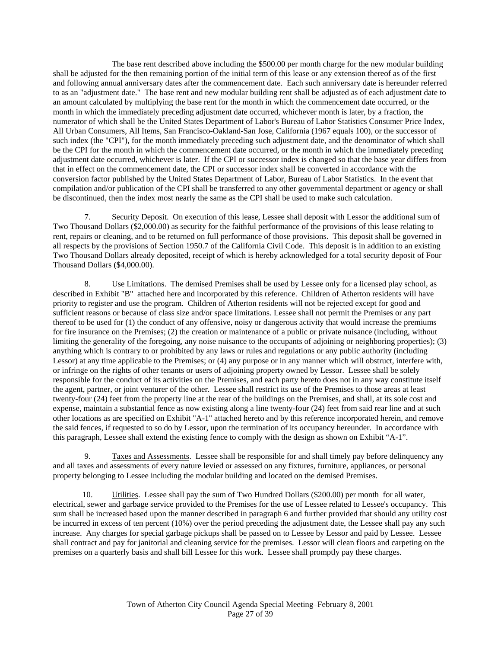The base rent described above including the \$500.00 per month charge for the new modular building shall be adjusted for the then remaining portion of the initial term of this lease or any extension thereof as of the first and following annual anniversary dates after the commencement date. Each such anniversary date is hereunder referred to as an "adjustment date." The base rent and new modular building rent shall be adjusted as of each adjustment date to an amount calculated by multiplying the base rent for the month in which the commencement date occurred, or the month in which the immediately preceding adjustment date occurred, whichever month is later, by a fraction, the numerator of which shall be the United States Department of Labor's Bureau of Labor Statistics Consumer Price Index, All Urban Consumers, All Items, San Francisco-Oakland-San Jose, California (1967 equals 100), or the successor of such index (the "CPI"), for the month immediately preceding such adjustment date, and the denominator of which shall be the CPI for the month in which the commencement date occurred, or the month in which the immediately preceding adjustment date occurred, whichever is later. If the CPI or successor index is changed so that the base year differs from that in effect on the commencement date, the CPI or successor index shall be converted in accordance with the conversion factor published by the United States Department of Labor, Bureau of Labor Statistics. In the event that compilation and/or publication of the CPI shall be transferred to any other governmental department or agency or shall be discontinued, then the index most nearly the same as the CPI shall be used to make such calculation.

 7. Security Deposit. On execution of this lease, Lessee shall deposit with Lessor the additional sum of Two Thousand Dollars (\$2,000.00) as security for the faithful performance of the provisions of this lease relating to rent, repairs or cleaning, and to be returned on full performance of those provisions. This deposit shall be governed in all respects by the provisions of Section 1950.7 of the California Civil Code. This deposit is in addition to an existing Two Thousand Dollars already deposited, receipt of which is hereby acknowledged for a total security deposit of Four Thousand Dollars (\$4,000.00).

8. Use Limitations. The demised Premises shall be used by Lessee only for a licensed play school, as described in Exhibit "B" attached here and incorporated by this reference. Children of Atherton residents will have priority to register and use the program. Children of Atherton residents will not be rejected except for good and sufficient reasons or because of class size and/or space limitations. Lessee shall not permit the Premises or any part thereof to be used for (1) the conduct of any offensive, noisy or dangerous activity that would increase the premiums for fire insurance on the Premises; (2) the creation or maintenance of a public or private nuisance (including, without limiting the generality of the foregoing, any noise nuisance to the occupants of adjoining or neighboring properties); (3) anything which is contrary to or prohibited by any laws or rules and regulations or any public authority (including Lessor) at any time applicable to the Premises; or (4) any purpose or in any manner which will obstruct, interfere with, or infringe on the rights of other tenants or users of adjoining property owned by Lessor. Lessee shall be solely responsible for the conduct of its activities on the Premises, and each party hereto does not in any way constitute itself the agent, partner, or joint venturer of the other. Lessee shall restrict its use of the Premises to those areas at least twenty-four (24) feet from the property line at the rear of the buildings on the Premises, and shall, at its sole cost and expense, maintain a substantial fence as now existing along a line twenty-four (24) feet from said rear line and at such other locations as are specified on Exhibit "A-1" attached hereto and by this reference incorporated herein, and remove the said fences, if requested to so do by Lessor, upon the termination of its occupancy hereunder. In accordance with this paragraph, Lessee shall extend the existing fence to comply with the design as shown on Exhibit "A-1".

9. Taxes and Assessments. Lessee shall be responsible for and shall timely pay before delinquency any and all taxes and assessments of every nature levied or assessed on any fixtures, furniture, appliances, or personal property belonging to Lessee including the modular building and located on the demised Premises.

 10. Utilities. Lessee shall pay the sum of Two Hundred Dollars (\$200.00) per month for all water, electrical, sewer and garbage service provided to the Premises for the use of Lessee related to Lessee's occupancy. This sum shall be increased based upon the manner described in paragraph 6 and further provided that should any utility cost be incurred in excess of ten percent (10%) over the period preceding the adjustment date, the Lessee shall pay any such increase. Any charges for special garbage pickups shall be passed on to Lessee by Lessor and paid by Lessee. Lessee shall contract and pay for janitorial and cleaning service for the premises. Lessor will clean floors and carpeting on the premises on a quarterly basis and shall bill Lessee for this work. Lessee shall promptly pay these charges.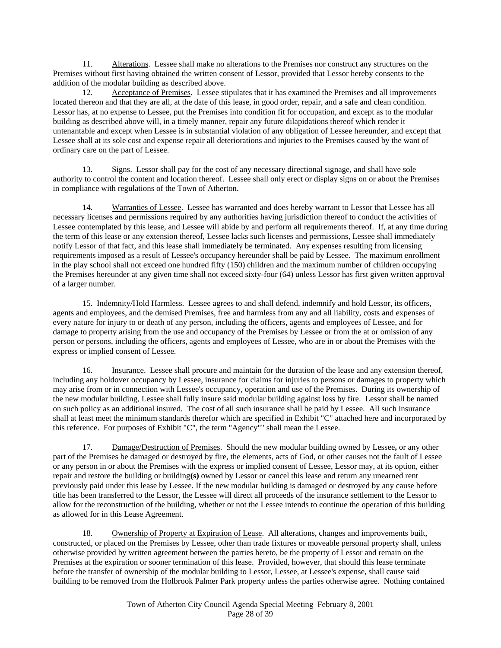11. Alterations. Lessee shall make no alterations to the Premises nor construct any structures on the Premises without first having obtained the written consent of Lessor, provided that Lessor hereby consents to the addition of the modular building as described above.

 12. Acceptance of Premises. Lessee stipulates that it has examined the Premises and all improvements located thereon and that they are all, at the date of this lease, in good order, repair, and a safe and clean condition. Lessor has, at no expense to Lessee, put the Premises into condition fit for occupation, and except as to the modular building as described above will, in a timely manner, repair any future dilapidations thereof which render it untenantable and except when Lessee is in substantial violation of any obligation of Lessee hereunder, and except that Lessee shall at its sole cost and expense repair all deteriorations and injuries to the Premises caused by the want of ordinary care on the part of Lessee.

13. Signs. Lessor shall pay for the cost of any necessary directional signage, and shall have sole authority to control the content and location thereof. Lessee shall only erect or display signs on or about the Premises in compliance with regulations of the Town of Atherton.

 14. Warranties of Lessee. Lessee has warranted and does hereby warrant to Lessor that Lessee has all necessary licenses and permissions required by any authorities having jurisdiction thereof to conduct the activities of Lessee contemplated by this lease, and Lessee will abide by and perform all requirements thereof. If, at any time during the term of this lease or any extension thereof, Lessee lacks such licenses and permissions, Lessee shall immediately notify Lessor of that fact, and this lease shall immediately be terminated. Any expenses resulting from licensing requirements imposed as a result of Lessee's occupancy hereunder shall be paid by Lessee. The maximum enrollment in the play school shall not exceed one hundred fifty (150) children and the maximum number of children occupying the Premises hereunder at any given time shall not exceed sixty-four (64) unless Lessor has first given written approval of a larger number.

 15. Indemnity/Hold Harmless. Lessee agrees to and shall defend, indemnify and hold Lessor, its officers, agents and employees, and the demised Premises, free and harmless from any and all liability, costs and expenses of every nature for injury to or death of any person, including the officers, agents and employees of Lessee, and for damage to property arising from the use and occupancy of the Premises by Lessee or from the at or omission of any person or persons, including the officers, agents and employees of Lessee, who are in or about the Premises with the express or implied consent of Lessee.

 16. Insurance. Lessee shall procure and maintain for the duration of the lease and any extension thereof, including any holdover occupancy by Lessee, insurance for claims for injuries to persons or damages to property which may arise from or in connection with Lessee's occupancy, operation and use of the Premises. During its ownership of the new modular building, Lessee shall fully insure said modular building against loss by fire. Lessor shall be named on such policy as an additional insured. The cost of all such insurance shall be paid by Lessee. All such insurance shall at least meet the minimum standards therefor which are specified in Exhibit "C" attached here and incorporated by this reference. For purposes of Exhibit "C", the term "Agency"" shall mean the Lessee.

 17. Damage/Destruction of Premises. Should the new modular building owned by Lessee**,** or any other part of the Premises be damaged or destroyed by fire, the elements, acts of God, or other causes not the fault of Lessee or any person in or about the Premises with the express or implied consent of Lessee, Lessor may, at its option, either repair and restore the building or building**(s)** owned by Lessor or cancel this lease and return any unearned rent previously paid under this lease by Lessee. If the new modular building is damaged or destroyed by any cause before title has been transferred to the Lessor, the Lessee will direct all proceeds of the insurance settlement to the Lessor to allow for the reconstruction of the building, whether or not the Lessee intends to continue the operation of this building as allowed for in this Lease Agreement.

18. Ownership of Property at Expiration of Lease. All alterations, changes and improvements built, constructed, or placed on the Premises by Lessee, other than trade fixtures or moveable personal property shall, unless otherwise provided by written agreement between the parties hereto, be the property of Lessor and remain on the Premises at the expiration or sooner termination of this lease. Provided, however, that should this lease terminate before the transfer of ownership of the modular building to Lessor, Lessee, at Lessee's expense, shall cause said building to be removed from the Holbrook Palmer Park property unless the parties otherwise agree. Nothing contained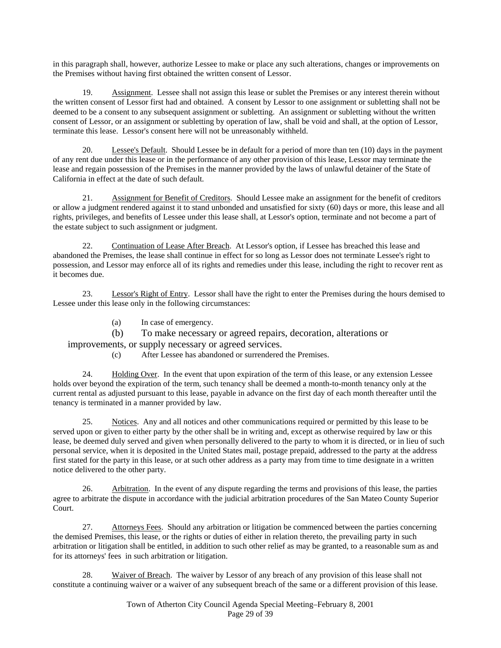in this paragraph shall, however, authorize Lessee to make or place any such alterations, changes or improvements on the Premises without having first obtained the written consent of Lessor.

 19. Assignment. Lessee shall not assign this lease or sublet the Premises or any interest therein without the written consent of Lessor first had and obtained. A consent by Lessor to one assignment or subletting shall not be deemed to be a consent to any subsequent assignment or subletting. An assignment or subletting without the written consent of Lessor, or an assignment or subletting by operation of law, shall be void and shall, at the option of Lessor, terminate this lease. Lessor's consent here will not be unreasonably withheld.

 20. Lessee's Default. Should Lessee be in default for a period of more than ten (10) days in the payment of any rent due under this lease or in the performance of any other provision of this lease, Lessor may terminate the lease and regain possession of the Premises in the manner provided by the laws of unlawful detainer of the State of California in effect at the date of such default.

21. Assignment for Benefit of Creditors. Should Lessee make an assignment for the benefit of creditors or allow a judgment rendered against it to stand unbonded and unsatisfied for sixty (60) days or more, this lease and all rights, privileges, and benefits of Lessee under this lease shall, at Lessor's option, terminate and not become a part of the estate subject to such assignment or judgment.

 22. Continuation of Lease After Breach. At Lessor's option, if Lessee has breached this lease and abandoned the Premises, the lease shall continue in effect for so long as Lessor does not terminate Lessee's right to possession, and Lessor may enforce all of its rights and remedies under this lease, including the right to recover rent as it becomes due.

 23. Lessor's Right of Entry. Lessor shall have the right to enter the Premises during the hours demised to Lessee under this lease only in the following circumstances:

(a) In case of emergency.

 (b) To make necessary or agreed repairs, decoration, alterations or improvements, or supply necessary or agreed services.

(c) After Lessee has abandoned or surrendered the Premises.

24. Holding Over. In the event that upon expiration of the term of this lease, or any extension Lessee holds over beyond the expiration of the term, such tenancy shall be deemed a month-to-month tenancy only at the current rental as adjusted pursuant to this lease, payable in advance on the first day of each month thereafter until the tenancy is terminated in a manner provided by law.

 25. Notices. Any and all notices and other communications required or permitted by this lease to be served upon or given to either party by the other shall be in writing and, except as otherwise required by law or this lease, be deemed duly served and given when personally delivered to the party to whom it is directed, or in lieu of such personal service, when it is deposited in the United States mail, postage prepaid, addressed to the party at the address first stated for the party in this lease, or at such other address as a party may from time to time designate in a written notice delivered to the other party.

 26. Arbitration. In the event of any dispute regarding the terms and provisions of this lease, the parties agree to arbitrate the dispute in accordance with the judicial arbitration procedures of the San Mateo County Superior Court.

 27. Attorneys Fees. Should any arbitration or litigation be commenced between the parties concerning the demised Premises, this lease, or the rights or duties of either in relation thereto, the prevailing party in such arbitration or litigation shall be entitled, in addition to such other relief as may be granted, to a reasonable sum as and for its attorneys' fees in such arbitration or litigation.

28. Waiver of Breach. The waiver by Lessor of any breach of any provision of this lease shall not constitute a continuing waiver or a waiver of any subsequent breach of the same or a different provision of this lease.

> Town of Atherton City Council Agenda Special Meeting–February 8, 2001 Page 29 of 39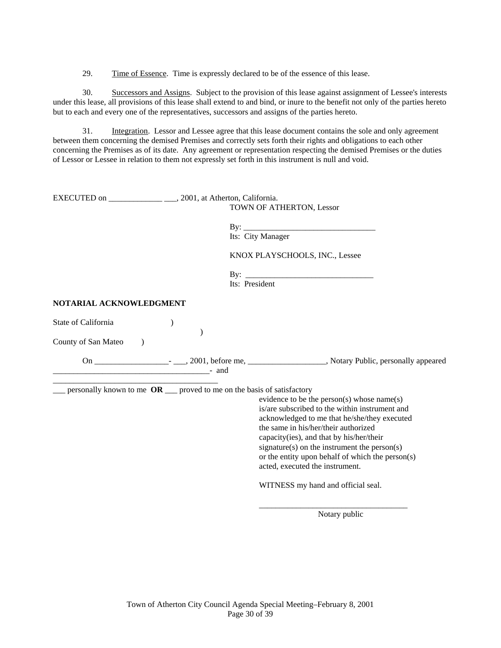29. Time of Essence. Time is expressly declared to be of the essence of this lease.

 30. Successors and Assigns. Subject to the provision of this lease against assignment of Lessee's interests under this lease, all provisions of this lease shall extend to and bind, or inure to the benefit not only of the parties hereto but to each and every one of the representatives, successors and assigns of the parties hereto.

31. Integration. Lessor and Lessee agree that this lease document contains the sole and only agreement between them concerning the demised Premises and correctly sets forth their rights and obligations to each other concerning the Premises as of its date. Any agreement or representation respecting the demised Premises or the duties of Lessor or Lessee in relation to them not expressly set forth in this instrument is null and void.

|                                                         | TOWN OF ATHERTON, Lessor                                                                                                                                                                                                                                                                                                                                                                                                                                                                  |
|---------------------------------------------------------|-------------------------------------------------------------------------------------------------------------------------------------------------------------------------------------------------------------------------------------------------------------------------------------------------------------------------------------------------------------------------------------------------------------------------------------------------------------------------------------------|
|                                                         | Its: City Manager                                                                                                                                                                                                                                                                                                                                                                                                                                                                         |
|                                                         | KNOX PLAYSCHOOLS, INC., Lessee                                                                                                                                                                                                                                                                                                                                                                                                                                                            |
|                                                         | Its: President                                                                                                                                                                                                                                                                                                                                                                                                                                                                            |
| NOTARIAL ACKNOWLEDGMENT                                 |                                                                                                                                                                                                                                                                                                                                                                                                                                                                                           |
| State of California<br>County of San Mateo<br>$\lambda$ | $\mathcal{E}$                                                                                                                                                                                                                                                                                                                                                                                                                                                                             |
|                                                         |                                                                                                                                                                                                                                                                                                                                                                                                                                                                                           |
|                                                         | personally known to me $OR$ __ proved to me on the basis of satisfactory<br>evidence to be the person(s) whose name(s)<br>is/are subscribed to the within instrument and<br>acknowledged to me that he/she/they executed<br>the same in his/her/their authorized<br>capacity(ies), and that by his/her/their<br>signature(s) on the instrument the person(s)<br>or the entity upon behalf of which the person(s)<br>acted, executed the instrument.<br>WITNESS my hand and official seal. |

Notary public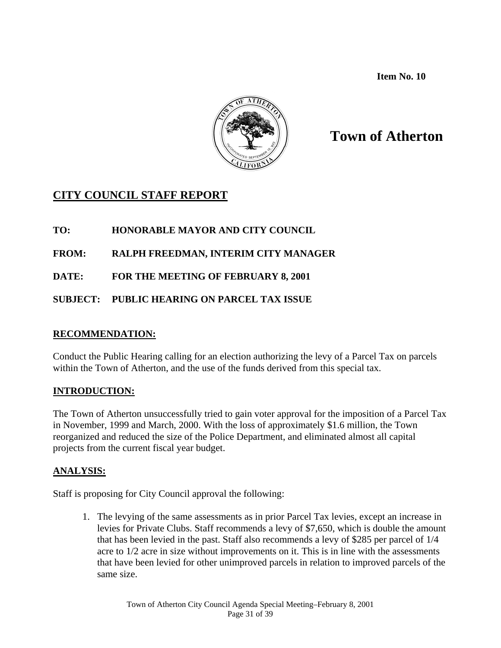**Item No. 10** 



# **Town of Atherton**

# **CITY COUNCIL STAFF REPORT**

# **TO: HONORABLE MAYOR AND CITY COUNCIL**

# **FROM: RALPH FREEDMAN, INTERIM CITY MANAGER**

**DATE: FOR THE MEETING OF FEBRUARY 8, 2001** 

# **SUBJECT: PUBLIC HEARING ON PARCEL TAX ISSUE**

# **RECOMMENDATION:**

Conduct the Public Hearing calling for an election authorizing the levy of a Parcel Tax on parcels within the Town of Atherton, and the use of the funds derived from this special tax.

# **INTRODUCTION:**

The Town of Atherton unsuccessfully tried to gain voter approval for the imposition of a Parcel Tax in November, 1999 and March, 2000. With the loss of approximately \$1.6 million, the Town reorganized and reduced the size of the Police Department, and eliminated almost all capital projects from the current fiscal year budget.

# **ANALYSIS:**

Staff is proposing for City Council approval the following:

1. The levying of the same assessments as in prior Parcel Tax levies, except an increase in levies for Private Clubs. Staff recommends a levy of \$7,650, which is double the amount that has been levied in the past. Staff also recommends a levy of \$285 per parcel of 1/4 acre to 1/2 acre in size without improvements on it. This is in line with the assessments that have been levied for other unimproved parcels in relation to improved parcels of the same size.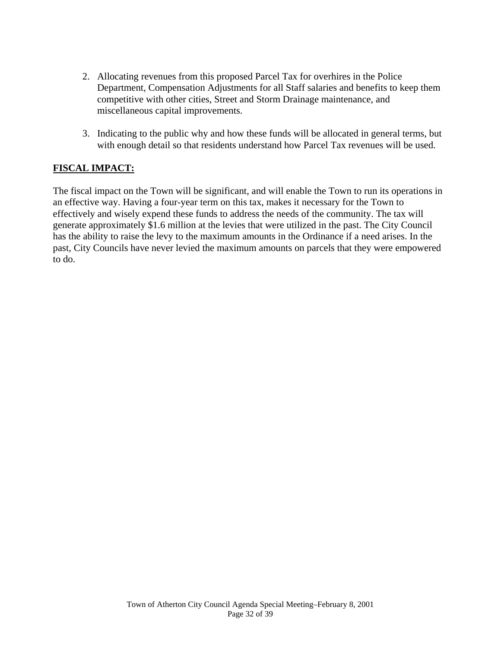- 2. Allocating revenues from this proposed Parcel Tax for overhires in the Police Department, Compensation Adjustments for all Staff salaries and benefits to keep them competitive with other cities, Street and Storm Drainage maintenance, and miscellaneous capital improvements.
- 3. Indicating to the public why and how these funds will be allocated in general terms, but with enough detail so that residents understand how Parcel Tax revenues will be used.

# **FISCAL IMPACT:**

The fiscal impact on the Town will be significant, and will enable the Town to run its operations in an effective way. Having a four-year term on this tax, makes it necessary for the Town to effectively and wisely expend these funds to address the needs of the community. The tax will generate approximately \$1.6 million at the levies that were utilized in the past. The City Council has the ability to raise the levy to the maximum amounts in the Ordinance if a need arises. In the past, City Councils have never levied the maximum amounts on parcels that they were empowered to do.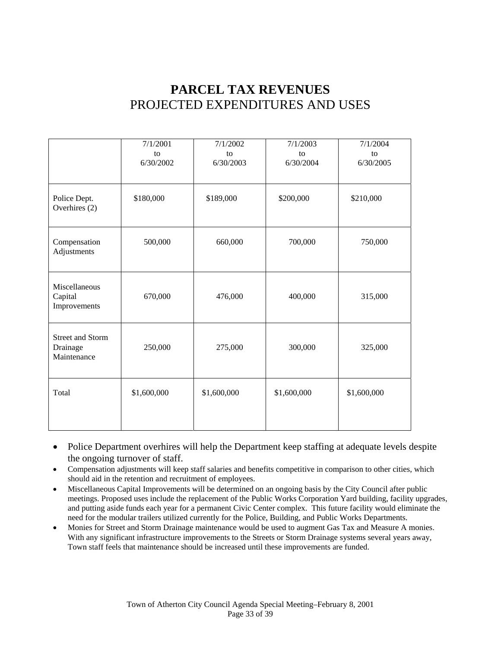# **PARCEL TAX REVENUES**  PROJECTED EXPENDITURES AND USES

|                                                    | 7/1/2001<br>to<br>6/30/2002 | 7/1/2002<br>to<br>6/30/2003 | 7/1/2003<br>to<br>6/30/2004 | 7/1/2004<br>to<br>6/30/2005 |
|----------------------------------------------------|-----------------------------|-----------------------------|-----------------------------|-----------------------------|
| Police Dept.<br>Overhires (2)                      | \$180,000                   | \$189,000                   | \$200,000                   | \$210,000                   |
| Compensation<br>Adjustments                        | 500,000                     | 660,000                     | 700,000                     | 750,000                     |
| Miscellaneous<br>Capital<br>Improvements           | 670,000                     | 476,000                     | 400,000                     | 315,000                     |
| <b>Street and Storm</b><br>Drainage<br>Maintenance | 250,000                     | 275,000                     | 300,000                     | 325,000                     |
| Total                                              | \$1,600,000                 | \$1,600,000                 | \$1,600,000                 | \$1,600,000                 |

- Police Department overhires will help the Department keep staffing at adequate levels despite the ongoing turnover of staff.
- Compensation adjustments will keep staff salaries and benefits competitive in comparison to other cities, which should aid in the retention and recruitment of employees.
- Miscellaneous Capital Improvements will be determined on an ongoing basis by the City Council after public meetings. Proposed uses include the replacement of the Public Works Corporation Yard building, facility upgrades, and putting aside funds each year for a permanent Civic Center complex. This future facility would eliminate the need for the modular trailers utilized currently for the Police, Building, and Public Works Departments.
- Monies for Street and Storm Drainage maintenance would be used to augment Gas Tax and Measure A monies. With any significant infrastructure improvements to the Streets or Storm Drainage systems several years away, Town staff feels that maintenance should be increased until these improvements are funded.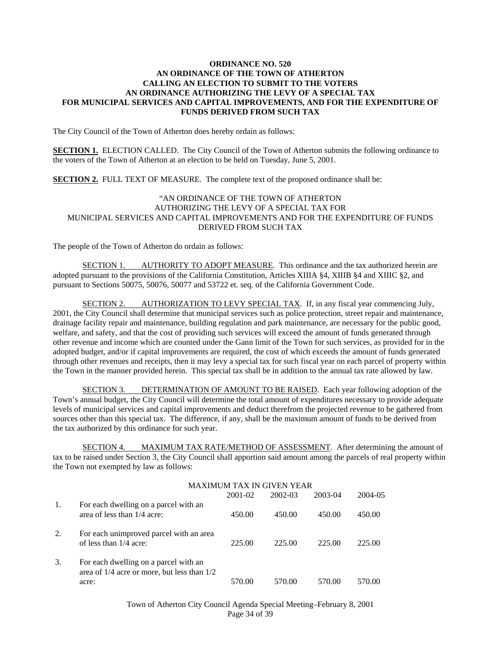#### **ORDINANCE NO. 520 AN ORDINANCE OF THE TOWN OF ATHERTON CALLING AN ELECTION TO SUBMIT TO THE VOTERS AN ORDINANCE AUTHORIZING THE LEVY OF A SPECIAL TAX FOR MUNICIPAL SERVICES AND CAPITAL IMPROVEMENTS, AND FOR THE EXPENDITURE OF FUNDS DERIVED FROM SUCH TAX**

The City Council of the Town of Atherton does hereby ordain as follows:

**SECTION 1.** ELECTION CALLED. The City Council of the Town of Atherton submits the following ordinance to the voters of the Town of Atherton at an election to be held on Tuesday, June 5, 2001.

**SECTION 2.** FULL TEXT OF MEASURE. The complete text of the proposed ordinance shall be:

#### "AN ORDINANCE OF THE TOWN OF ATHERTON AUTHORIZING THE LEVY OF A SPECIAL TAX FOR MUNICIPAL SERVICES AND CAPITAL IMPROVEMENTS AND FOR THE EXPENDITURE OF FUNDS DERIVED FROM SUCH TAX

The people of the Town of Atherton do ordain as follows:

 SECTION 1. AUTHORITY TO ADOPT MEASURE. This ordinance and the tax authorized herein are adopted pursuant to the provisions of the California Constitution, Articles XIIIA §4, XIIIB §4 and XIIIC §2, and pursuant to Sections 50075, 50076, 50077 and 53722 et. seq. of the California Government Code.

 SECTION 2. AUTHORIZATION TO LEVY SPECIAL TAX. If, in any fiscal year commencing July, 2001, the City Council shall determine that municipal services such as police protection, street repair and maintenance, drainage facility repair and maintenance, building regulation and park maintenance, are necessary for the public good, welfare, and safety, and that the cost of providing such services will exceed the amount of funds generated through other revenue and income which are counted under the Gann limit of the Town for such services, as provided for in the adopted budget, and/or if capital improvements are required, the cost of which exceeds the amount of funds generated through other revenues and receipts, then it may levy a special tax for such fiscal year on each parcel of property within the Town in the manner provided herein. This special tax shall be in addition to the annual tax rate allowed by law.

 SECTION 3. DETERMINATION OF AMOUNT TO BE RAISED. Each year following adoption of the Town's annual budget, the City Council will determine the total amount of expenditures necessary to provide adequate levels of municipal services and capital improvements and deduct therefrom the projected revenue to be gathered from sources other than this special tax. The difference, if any, shall be the maximum amount of funds to be derived from the tax authorized by this ordinance for such year.

 SECTION 4. MAXIMUM TAX RATE/METHOD OF ASSESSMENT. After determining the amount of tax to be raised under Section 3, the City Council shall apportion said amount among the parcels of real property within the Town not exempted by law as follows:

 $\ldots$ 

|    | MAXIMUM TAX IN GIVEN YEAR                                                                     |         |         |         |         |
|----|-----------------------------------------------------------------------------------------------|---------|---------|---------|---------|
|    |                                                                                               | 2001-02 | 2002-03 | 2003-04 | 2004-05 |
| 1. | For each dwelling on a parcel with an<br>area of less than 1/4 acre:                          | 450.00  | 450.00  | 450.00  | 450.00  |
| 2. | For each unimproved parcel with an area<br>of less than 1/4 acre:                             | 225.00  | 225.00  | 225.00  | 225.00  |
| 3. | For each dwelling on a parcel with an<br>area of 1/4 acre or more, but less than 1/2<br>acre: | 570.00  | 570.00  | 570.00  | 570.00  |

Town of Atherton City Council Agenda Special Meeting–February 8, 2001 Page 34 of 39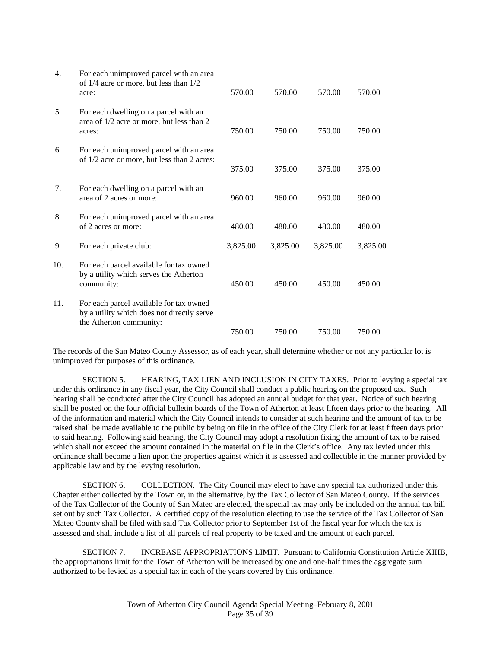| 4.  | For each unimproved parcel with an area<br>of 1/4 acre or more, but less than 1/2<br>acre:                       | 570.00   | 570.00   | 570.00   | 570.00   |
|-----|------------------------------------------------------------------------------------------------------------------|----------|----------|----------|----------|
| 5.  | For each dwelling on a parcel with an<br>area of 1/2 acre or more, but less than 2<br>acres:                     | 750.00   | 750.00   | 750.00   | 750.00   |
| 6.  | For each unimproved parcel with an area<br>of 1/2 acre or more, but less than 2 acres:                           | 375.00   | 375.00   | 375.00   | 375.00   |
| 7.  | For each dwelling on a parcel with an<br>area of 2 acres or more:                                                | 960.00   | 960.00   | 960.00   | 960.00   |
| 8.  | For each unimproved parcel with an area<br>of 2 acres or more:                                                   | 480.00   | 480.00   | 480.00   | 480.00   |
| 9.  | For each private club:                                                                                           | 3,825.00 | 3,825.00 | 3,825.00 | 3,825.00 |
| 10. | For each parcel available for tax owned<br>by a utility which serves the Atherton<br>community:                  | 450.00   | 450.00   | 450.00   | 450.00   |
| 11. | For each parcel available for tax owned<br>by a utility which does not directly serve<br>the Atherton community: |          |          |          |          |
|     |                                                                                                                  | 750.00   | 750.00   | 750.00   | 750.00   |

The records of the San Mateo County Assessor, as of each year, shall determine whether or not any particular lot is unimproved for purposes of this ordinance.

 SECTION 5. HEARING, TAX LIEN AND INCLUSION IN CITY TAXES. Prior to levying a special tax under this ordinance in any fiscal year, the City Council shall conduct a public hearing on the proposed tax. Such hearing shall be conducted after the City Council has adopted an annual budget for that year. Notice of such hearing shall be posted on the four official bulletin boards of the Town of Atherton at least fifteen days prior to the hearing. All of the information and material which the City Council intends to consider at such hearing and the amount of tax to be raised shall be made available to the public by being on file in the office of the City Clerk for at least fifteen days prior to said hearing. Following said hearing, the City Council may adopt a resolution fixing the amount of tax to be raised which shall not exceed the amount contained in the material on file in the Clerk's office. Any tax levied under this ordinance shall become a lien upon the properties against which it is assessed and collectible in the manner provided by applicable law and by the levying resolution.

SECTION 6. COLLECTION. The City Council may elect to have any special tax authorized under this Chapter either collected by the Town or, in the alternative, by the Tax Collector of San Mateo County. If the services of the Tax Collector of the County of San Mateo are elected, the special tax may only be included on the annual tax bill set out by such Tax Collector. A certified copy of the resolution electing to use the service of the Tax Collector of San Mateo County shall be filed with said Tax Collector prior to September 1st of the fiscal year for which the tax is assessed and shall include a list of all parcels of real property to be taxed and the amount of each parcel.

SECTION 7. INCREASE APPROPRIATIONS LIMIT. Pursuant to California Constitution Article XIIIB, the appropriations limit for the Town of Atherton will be increased by one and one-half times the aggregate sum authorized to be levied as a special tax in each of the years covered by this ordinance.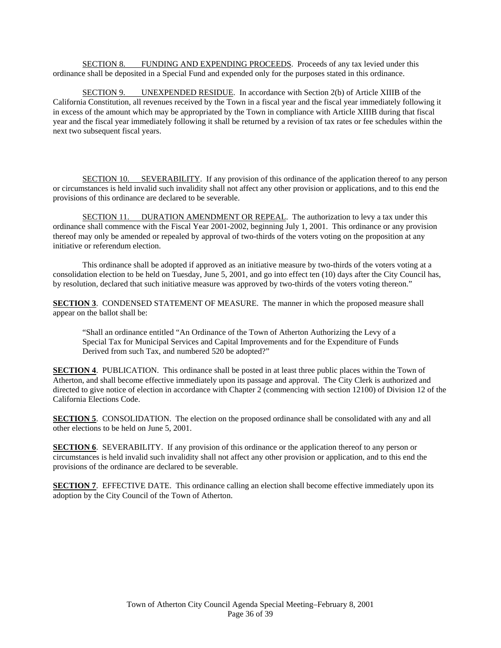SECTION 8. FUNDING AND EXPENDING PROCEEDS. Proceeds of any tax levied under this ordinance shall be deposited in a Special Fund and expended only for the purposes stated in this ordinance.

 SECTION 9. UNEXPENDED RESIDUE. In accordance with Section 2(b) of Article XIIIB of the California Constitution, all revenues received by the Town in a fiscal year and the fiscal year immediately following it in excess of the amount which may be appropriated by the Town in compliance with Article XIIIB during that fiscal year and the fiscal year immediately following it shall be returned by a revision of tax rates or fee schedules within the next two subsequent fiscal years.

 SECTION 10. SEVERABILITY. If any provision of this ordinance of the application thereof to any person or circumstances is held invalid such invalidity shall not affect any other provision or applications, and to this end the provisions of this ordinance are declared to be severable.

 SECTION 11. DURATION AMENDMENT OR REPEAL. The authorization to levy a tax under this ordinance shall commence with the Fiscal Year 2001-2002, beginning July 1, 2001. This ordinance or any provision thereof may only be amended or repealed by approval of two-thirds of the voters voting on the proposition at any initiative or referendum election.

 This ordinance shall be adopted if approved as an initiative measure by two-thirds of the voters voting at a consolidation election to be held on Tuesday, June 5, 2001, and go into effect ten (10) days after the City Council has, by resolution, declared that such initiative measure was approved by two-thirds of the voters voting thereon."

**SECTION 3**. CONDENSED STATEMENT OF MEASURE. The manner in which the proposed measure shall appear on the ballot shall be:

"Shall an ordinance entitled "An Ordinance of the Town of Atherton Authorizing the Levy of a Special Tax for Municipal Services and Capital Improvements and for the Expenditure of Funds Derived from such Tax, and numbered 520 be adopted?"

**SECTION 4**. PUBLICATION. This ordinance shall be posted in at least three public places within the Town of Atherton, and shall become effective immediately upon its passage and approval. The City Clerk is authorized and directed to give notice of election in accordance with Chapter 2 (commencing with section 12100) of Division 12 of the California Elections Code.

**SECTION 5.** CONSOLIDATION. The election on the proposed ordinance shall be consolidated with any and all other elections to be held on June 5, 2001.

**SECTION 6**. SEVERABILITY. If any provision of this ordinance or the application thereof to any person or circumstances is held invalid such invalidity shall not affect any other provision or application, and to this end the provisions of the ordinance are declared to be severable.

**SECTION 7.** EFFECTIVE DATE. This ordinance calling an election shall become effective immediately upon its adoption by the City Council of the Town of Atherton.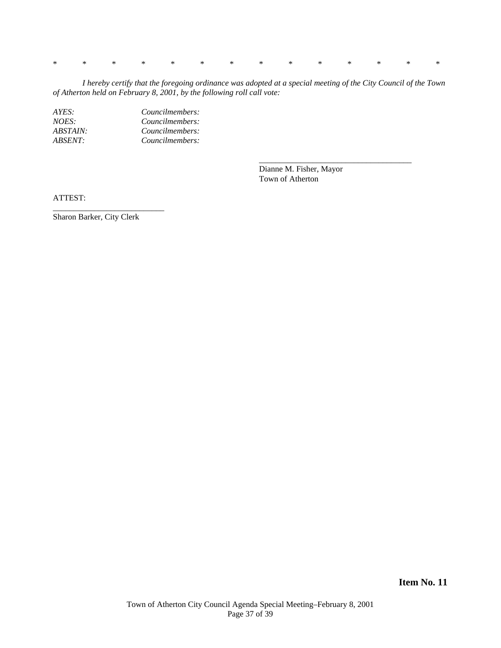\* \* \* \* \* \* \* \* \* \* \* \* \* \*

 *I hereby certify that the foregoing ordinance was adopted at a special meeting of the City Council of the Town of Atherton held on February 8, 2001, by the following roll call vote:* 

 $\frac{1}{2}$  , and the set of the set of the set of the set of the set of the set of the set of the set of the set of the set of the set of the set of the set of the set of the set of the set of the set of the set of the set

*AYES: Councilmembers: NOES: Councilmembers: ABSTAIN: Councilmembers: ABSENT: Councilmembers:* 

> Dianne M. Fisher, Mayor Town of Atherton

ATTEST:

Sharon Barker, City Clerk

\_\_\_\_\_\_\_\_\_\_\_\_\_\_\_\_\_\_\_\_\_\_\_\_\_\_\_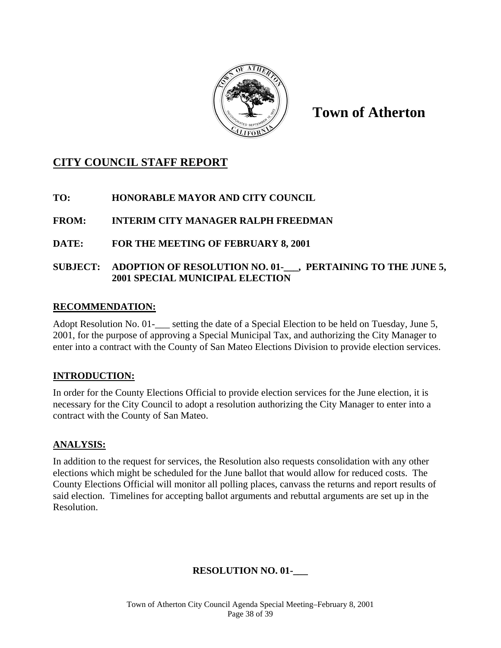

**Town of Atherton** 

# **CITY COUNCIL STAFF REPORT**

# **TO: HONORABLE MAYOR AND CITY COUNCIL**

# **FROM: INTERIM CITY MANAGER RALPH FREEDMAN**

# **DATE: FOR THE MEETING OF FEBRUARY 8, 2001**

### SUBJECT: ADOPTION OF RESOLUTION NO. 01- , PERTAINING TO THE JUNE 5, **2001 SPECIAL MUNICIPAL ELECTION**

#### **RECOMMENDATION:**

Adopt Resolution No. 01-<br>estting the date of a Special Election to be held on Tuesday, June 5, 2001, for the purpose of approving a Special Municipal Tax, and authorizing the City Manager to enter into a contract with the County of San Mateo Elections Division to provide election services.

#### **INTRODUCTION:**

In order for the County Elections Official to provide election services for the June election, it is necessary for the City Council to adopt a resolution authorizing the City Manager to enter into a contract with the County of San Mateo.

#### **ANALYSIS:**

In addition to the request for services, the Resolution also requests consolidation with any other elections which might be scheduled for the June ballot that would allow for reduced costs. The County Elections Official will monitor all polling places, canvass the returns and report results of said election. Timelines for accepting ballot arguments and rebuttal arguments are set up in the Resolution.

# **RESOLUTION NO. 01-\_\_\_**

Town of Atherton City Council Agenda Special Meeting–February 8, 2001 Page 38 of 39